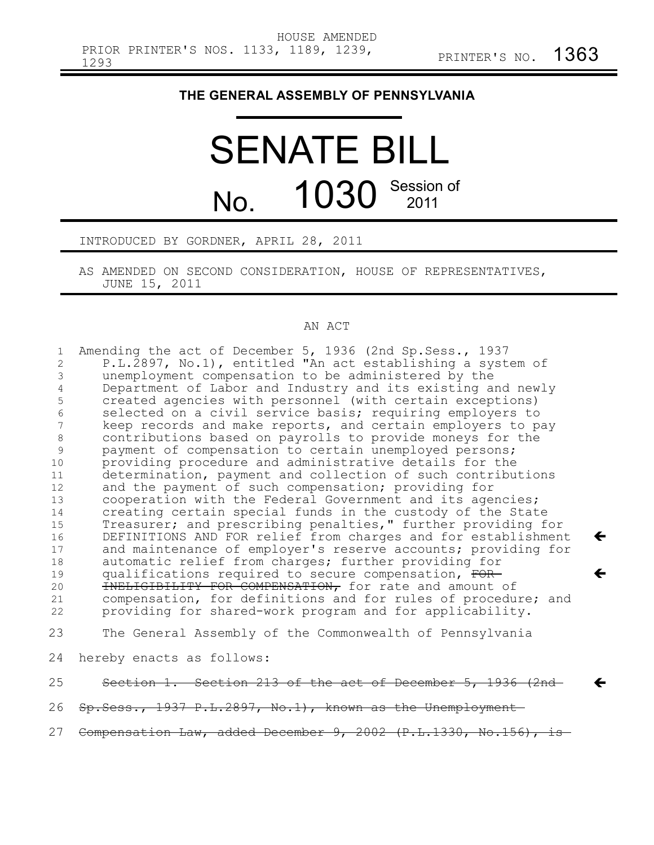$\leftarrow$ 

 $\leftarrow$ 

 $\leftarrow$ 

## **THE GENERAL ASSEMBLY OF PENNSYLVANIA**

# SENATE BILL No. 1030 Session of

### INTRODUCED BY GORDNER, APRIL 28, 2011

AS AMENDED ON SECOND CONSIDERATION, HOUSE OF REPRESENTATIVES, JUNE 15, 2011

#### AN ACT

| $\mathbf{1}$   | Amending the act of December 5, 1936 (2nd Sp. Sess., 1937        |
|----------------|------------------------------------------------------------------|
| $\overline{2}$ | P.L.2897, No.1), entitled "An act establishing a system of       |
| 3              | unemployment compensation to be administered by the              |
| 4              | Department of Labor and Industry and its existing and newly      |
| 5              | created agencies with personnel (with certain exceptions)        |
| 6              | selected on a civil service basis; requiring employers to        |
| 7              | keep records and make reports, and certain employers to pay      |
| 8              | contributions based on payrolls to provide moneys for the        |
| 9              | payment of compensation to certain unemployed persons;           |
| 10             | providing procedure and administrative details for the           |
| 11             | determination, payment and collection of such contributions      |
| 12             | and the payment of such compensation; providing for              |
| 13             | cooperation with the Federal Government and its agencies;        |
| 14             | creating certain special funds in the custody of the State       |
| 15             | Treasurer; and prescribing penalties," further providing for     |
| 16             | DEFINITIONS AND FOR relief from charges and for establishment    |
| 17             | and maintenance of employer's reserve accounts; providing for    |
| 18             | automatic relief from charges; further providing for             |
| 19             | qualifications required to secure compensation, FOR-             |
| 20             | INELIGIBILITY FOR COMPENSATION, for rate and amount of           |
| 21             | compensation, for definitions and for rules of procedure; and    |
| 22             | providing for shared-work program and for applicability.         |
| 23             | The General Assembly of the Commonwealth of Pennsylvania         |
| 24             | hereby enacts as follows:                                        |
| 25             | Section 1. Section 213 of the act of December 5, 1936 (2nd-      |
| 26             | Sp. Sess., 1937 P.L. 2897, No. 1), known as the Unemployment     |
| 27             | Compensation Law, added December 9, 2002 (P.L.1330, No.156), is- |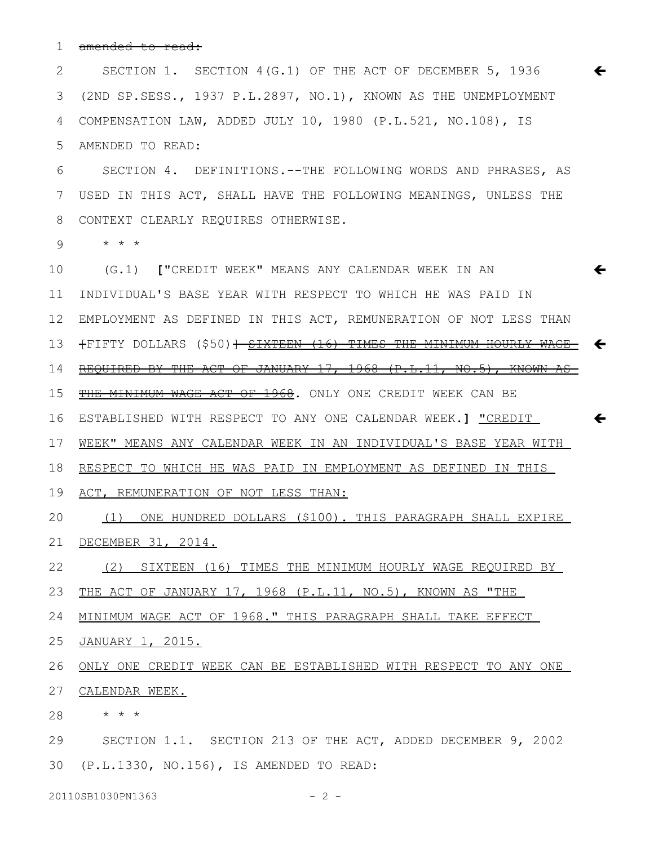amended to read: 1

SECTION 1. SECTION 4(G.1) OF THE ACT OF DECEMBER 5, 1936 (2ND SP.SESS., 1937 P.L.2897, NO.1), KNOWN AS THE UNEMPLOYMENT COMPENSATION LAW, ADDED JULY 10, 1980 (P.L.521, NO.108), IS AMENDED TO READ: 2 3 4 5

 $\leftarrow$ 

SECTION 4. DEFINITIONS.--THE FOLLOWING WORDS AND PHRASES, AS USED IN THIS ACT, SHALL HAVE THE FOLLOWING MEANINGS, UNLESS THE CONTEXT CLEARLY REQUIRES OTHERWISE. 6 7 8

\* \* \* 9

(G.1) **[**"CREDIT WEEK" MEANS ANY CALENDAR WEEK IN AN INDIVIDUAL'S BASE YEAR WITH RESPECT TO WHICH HE WAS PAID IN EMPLOYMENT AS DEFINED IN THIS ACT, REMUNERATION OF NOT LESS THAN 12  $+$ FIFTY DOLLARS (\$50)<del>] <u>SIXTEEN (16) TIMES THE MINIMUM HOURLY WAGE</u>  $\blacklozenge$ </del> REQUIRED BY THE ACT OF JANUARY 17, 1968 (P.L.11, NO.5), KNOWN AS THE MINIMUM WAGE ACT OF 1968. ONLY ONE CREDIT WEEK CAN BE ESTABLISHED WITH RESPECT TO ANY ONE CALENDAR WEEK.**]** "CREDIT WEEK" MEANS ANY CALENDAR WEEK IN AN INDIVIDUAL'S BASE YEAR WITH RESPECT TO WHICH HE WAS PAID IN EMPLOYMENT AS DEFINED IN THIS ACT, REMUNERATION OF NOT LESS THAN: (1) ONE HUNDRED DOLLARS (\$100). THIS PARAGRAPH SHALL EXPIRE DECEMBER 31, 2014. (2) SIXTEEN (16) TIMES THE MINIMUM HOURLY WAGE REQUIRED BY THE ACT OF JANUARY 17, 1968 (P.L.11, NO.5), KNOWN AS "THE MINIMUM WAGE ACT OF 1968." THIS PARAGRAPH SHALL TAKE EFFECT  $\leftarrow$  $\leftarrow$ 10 11 13 14 15 16 17 18 19 20 21 22 23 24

JANUARY 1, 2015. 25

ONLY ONE CREDIT WEEK CAN BE ESTABLISHED WITH RESPECT TO ANY ONE 27 CALENDAR WEEK. 26

\* \* \* 28

SECTION 1.1. SECTION 213 OF THE ACT, ADDED DECEMBER 9, 2002 (P.L.1330, NO.156), IS AMENDED TO READ: 3029

20110SB1030PN1363 - 2 -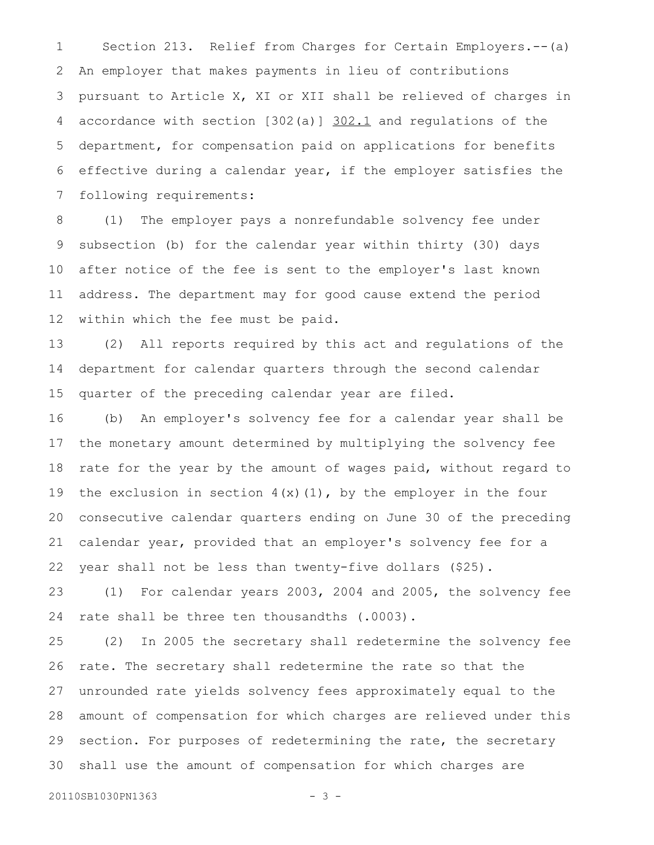Section 213. Relief from Charges for Certain Employers.--(a) An employer that makes payments in lieu of contributions pursuant to Article X, XI or XII shall be relieved of charges in accordance with section [302(a)] 302.1 and regulations of the department, for compensation paid on applications for benefits effective during a calendar year, if the employer satisfies the following requirements: 1 2 3 4 5 6 7

(1) The employer pays a nonrefundable solvency fee under subsection (b) for the calendar year within thirty (30) days after notice of the fee is sent to the employer's last known address. The department may for good cause extend the period within which the fee must be paid. 8 9 10 11 12

(2) All reports required by this act and regulations of the department for calendar quarters through the second calendar quarter of the preceding calendar year are filed. 13 14 15

(b) An employer's solvency fee for a calendar year shall be the monetary amount determined by multiplying the solvency fee rate for the year by the amount of wages paid, without regard to the exclusion in section  $4(x)(1)$ , by the employer in the four consecutive calendar quarters ending on June 30 of the preceding calendar year, provided that an employer's solvency fee for a year shall not be less than twenty-five dollars (\$25). 16 17 18 19 20 21 22

(1) For calendar years 2003, 2004 and 2005, the solvency fee rate shall be three ten thousandths (.0003). 23 24

(2) In 2005 the secretary shall redetermine the solvency fee rate. The secretary shall redetermine the rate so that the unrounded rate yields solvency fees approximately equal to the amount of compensation for which charges are relieved under this section. For purposes of redetermining the rate, the secretary shall use the amount of compensation for which charges are 25 26 27 28 29 30

20110SB1030PN1363 - 3 -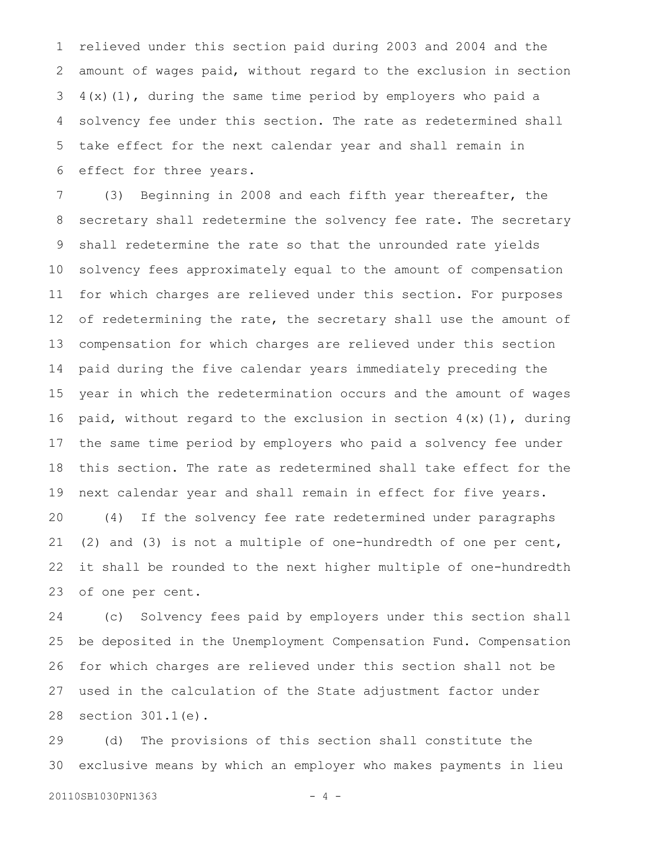relieved under this section paid during 2003 and 2004 and the amount of wages paid, without regard to the exclusion in section 4(x)(1), during the same time period by employers who paid a solvency fee under this section. The rate as redetermined shall take effect for the next calendar year and shall remain in effect for three years. 1 2 3 4 5 6

(3) Beginning in 2008 and each fifth year thereafter, the secretary shall redetermine the solvency fee rate. The secretary shall redetermine the rate so that the unrounded rate yields solvency fees approximately equal to the amount of compensation for which charges are relieved under this section. For purposes of redetermining the rate, the secretary shall use the amount of compensation for which charges are relieved under this section paid during the five calendar years immediately preceding the year in which the redetermination occurs and the amount of wages paid, without regard to the exclusion in section  $4(x)(1)$ , during the same time period by employers who paid a solvency fee under this section. The rate as redetermined shall take effect for the next calendar year and shall remain in effect for five years. (4) If the solvency fee rate redetermined under paragraphs (2) and (3) is not a multiple of one-hundredth of one per cent, it shall be rounded to the next higher multiple of one-hundredth of one per cent. 7 8 9 10 11 12 13 14 15 16 17 18 19 20 21 22 23

(c) Solvency fees paid by employers under this section shall be deposited in the Unemployment Compensation Fund. Compensation for which charges are relieved under this section shall not be used in the calculation of the State adjustment factor under section 301.1(e). 24 25 26 27 28

(d) The provisions of this section shall constitute the exclusive means by which an employer who makes payments in lieu 29 30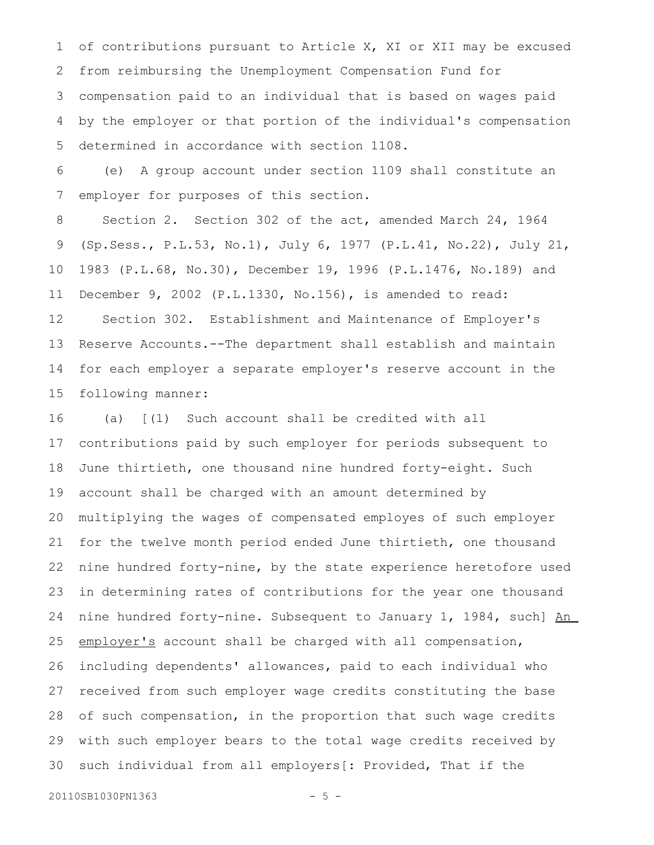of contributions pursuant to Article X, XI or XII may be excused from reimbursing the Unemployment Compensation Fund for compensation paid to an individual that is based on wages paid by the employer or that portion of the individual's compensation determined in accordance with section 1108. 1 2 3 4 5

(e) A group account under section 1109 shall constitute an employer for purposes of this section. 6 7

Section 2. Section 302 of the act, amended March 24, 1964 (Sp.Sess., P.L.53, No.1), July 6, 1977 (P.L.41, No.22), July 21, 1983 (P.L.68, No.30), December 19, 1996 (P.L.1476, No.189) and December 9, 2002 (P.L.1330, No.156), is amended to read: Section 302. Establishment and Maintenance of Employer's Reserve Accounts.--The department shall establish and maintain for each employer a separate employer's reserve account in the following manner: 8 9 10 11 12 13 14 15

(a) [(1) Such account shall be credited with all contributions paid by such employer for periods subsequent to June thirtieth, one thousand nine hundred forty-eight. Such account shall be charged with an amount determined by multiplying the wages of compensated employes of such employer for the twelve month period ended June thirtieth, one thousand nine hundred forty-nine, by the state experience heretofore used in determining rates of contributions for the year one thousand nine hundred forty-nine. Subsequent to January 1, 1984, such] An employer's account shall be charged with all compensation, including dependents' allowances, paid to each individual who received from such employer wage credits constituting the base of such compensation, in the proportion that such wage credits with such employer bears to the total wage credits received by such individual from all employers[: Provided, That if the 16 17 18 19 20 21 22 23 24 25 26 27 28 29 30

```
20110SB1030PN1363 - 5 -
```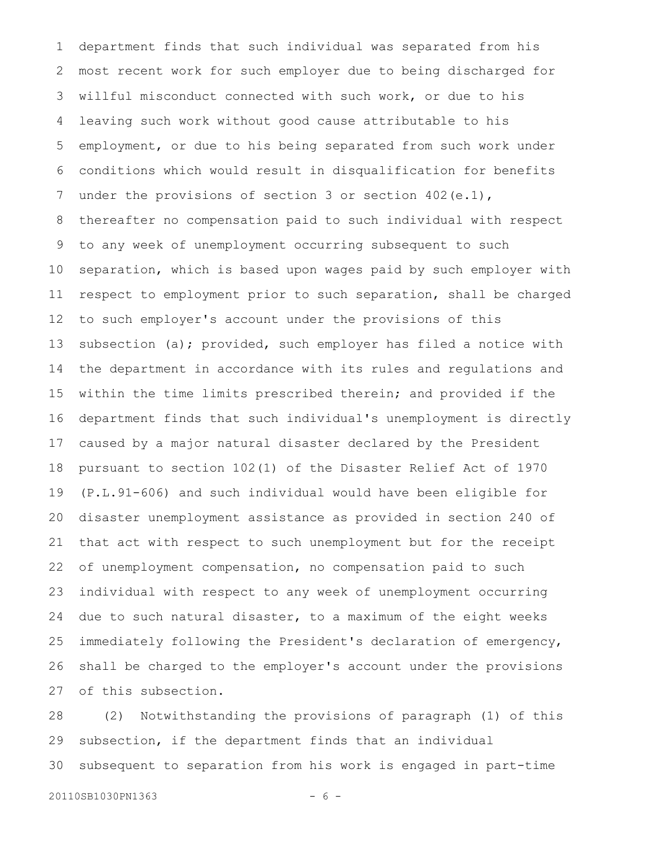department finds that such individual was separated from his most recent work for such employer due to being discharged for willful misconduct connected with such work, or due to his leaving such work without good cause attributable to his employment, or due to his being separated from such work under conditions which would result in disqualification for benefits under the provisions of section 3 or section 402(e.1), thereafter no compensation paid to such individual with respect to any week of unemployment occurring subsequent to such separation, which is based upon wages paid by such employer with respect to employment prior to such separation, shall be charged to such employer's account under the provisions of this subsection (a); provided, such employer has filed a notice with the department in accordance with its rules and regulations and within the time limits prescribed therein; and provided if the department finds that such individual's unemployment is directly caused by a major natural disaster declared by the President pursuant to section 102(1) of the Disaster Relief Act of 1970 (P.L.91-606) and such individual would have been eligible for disaster unemployment assistance as provided in section 240 of that act with respect to such unemployment but for the receipt of unemployment compensation, no compensation paid to such individual with respect to any week of unemployment occurring due to such natural disaster, to a maximum of the eight weeks immediately following the President's declaration of emergency, shall be charged to the employer's account under the provisions of this subsection. 1 2 3 4 5 6 7 8 9 10 11 12 13 14 15 16 17 18 19 20 21 22 23 24 25 26 27

(2) Notwithstanding the provisions of paragraph (1) of this subsection, if the department finds that an individual subsequent to separation from his work is engaged in part-time 28 29 30

```
20110SB1030PN1363 - 6 -
```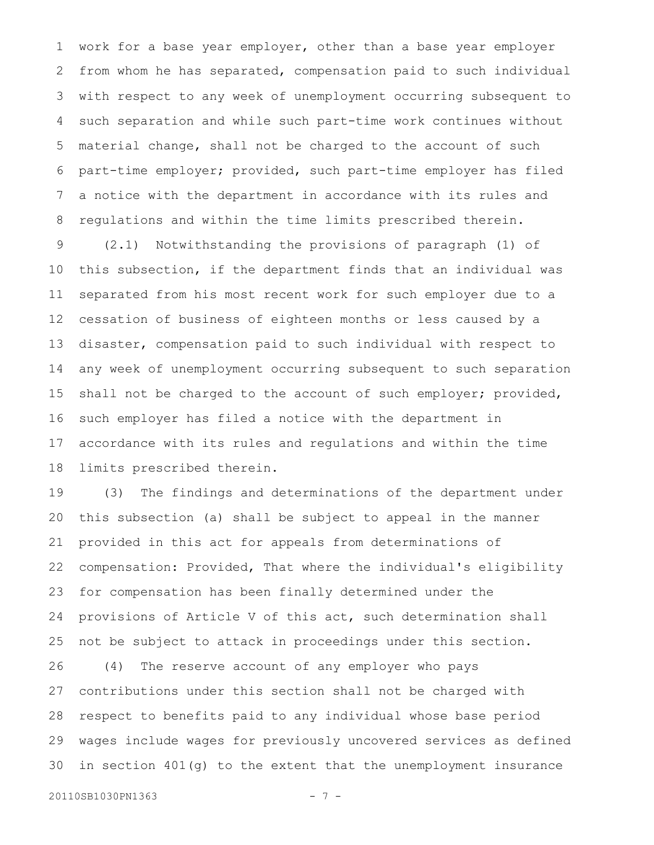work for a base year employer, other than a base year employer from whom he has separated, compensation paid to such individual with respect to any week of unemployment occurring subsequent to such separation and while such part-time work continues without material change, shall not be charged to the account of such part-time employer; provided, such part-time employer has filed a notice with the department in accordance with its rules and regulations and within the time limits prescribed therein. 1 2 3 4 5 6 7 8

(2.1) Notwithstanding the provisions of paragraph (1) of this subsection, if the department finds that an individual was separated from his most recent work for such employer due to a cessation of business of eighteen months or less caused by a disaster, compensation paid to such individual with respect to any week of unemployment occurring subsequent to such separation shall not be charged to the account of such employer; provided, such employer has filed a notice with the department in accordance with its rules and regulations and within the time limits prescribed therein. 9 10 11 12 13 14 15 16 17 18

(3) The findings and determinations of the department under this subsection (a) shall be subject to appeal in the manner provided in this act for appeals from determinations of compensation: Provided, That where the individual's eligibility for compensation has been finally determined under the provisions of Article V of this act, such determination shall not be subject to attack in proceedings under this section. (4) The reserve account of any employer who pays contributions under this section shall not be charged with respect to benefits paid to any individual whose base period wages include wages for previously uncovered services as defined in section 401(g) to the extent that the unemployment insurance 19 20 21 22 23 24 25 26 27 28 29 30

```
20110SB1030PN1363 - 7 -
```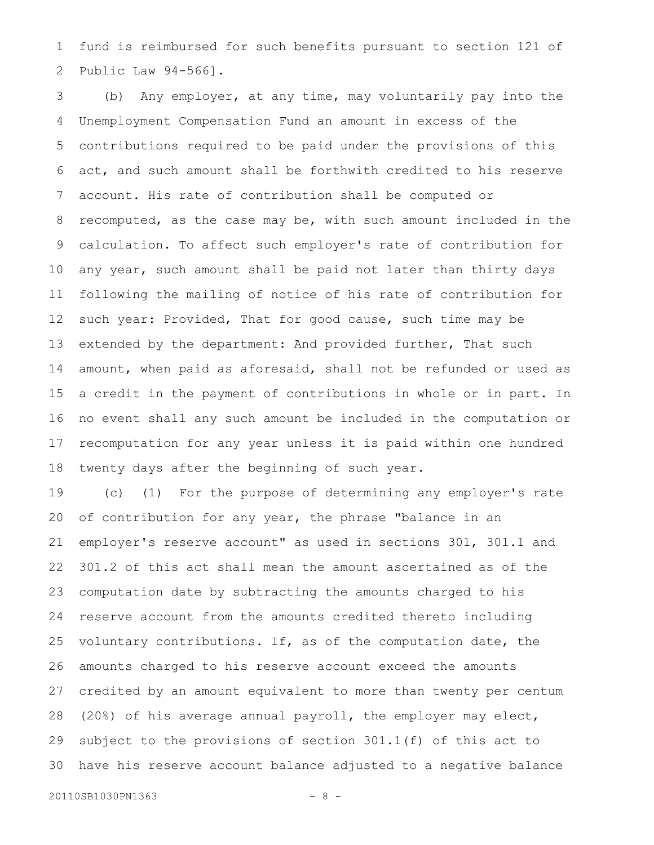fund is reimbursed for such benefits pursuant to section 121 of Public Law 94-566]. 1 2

(b) Any employer, at any time, may voluntarily pay into the Unemployment Compensation Fund an amount in excess of the contributions required to be paid under the provisions of this act, and such amount shall be forthwith credited to his reserve account. His rate of contribution shall be computed or recomputed, as the case may be, with such amount included in the calculation. To affect such employer's rate of contribution for any year, such amount shall be paid not later than thirty days following the mailing of notice of his rate of contribution for such year: Provided, That for good cause, such time may be extended by the department: And provided further, That such amount, when paid as aforesaid, shall not be refunded or used as a credit in the payment of contributions in whole or in part. In no event shall any such amount be included in the computation or recomputation for any year unless it is paid within one hundred twenty days after the beginning of such year. 3 4 5 6 7 8 9 10 11 12 13 14 15 16 17 18

(c) (1) For the purpose of determining any employer's rate of contribution for any year, the phrase "balance in an employer's reserve account" as used in sections 301, 301.1 and 301.2 of this act shall mean the amount ascertained as of the computation date by subtracting the amounts charged to his reserve account from the amounts credited thereto including voluntary contributions. If, as of the computation date, the amounts charged to his reserve account exceed the amounts credited by an amount equivalent to more than twenty per centum (20%) of his average annual payroll, the employer may elect, subject to the provisions of section 301.1(f) of this act to have his reserve account balance adjusted to a negative balance 19 20 21 22 23 24 25 26 27 28 29 30

```
20110SB1030PN1363 - 8 -
```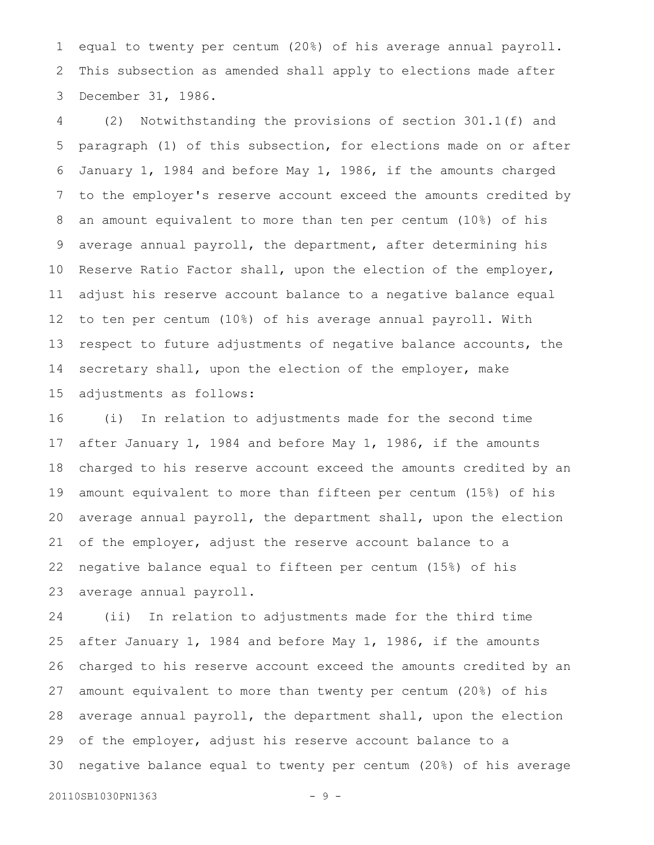equal to twenty per centum (20%) of his average annual payroll. This subsection as amended shall apply to elections made after December 31, 1986. 1 2 3

(2) Notwithstanding the provisions of section 301.1(f) and paragraph (1) of this subsection, for elections made on or after January 1, 1984 and before May 1, 1986, if the amounts charged to the employer's reserve account exceed the amounts credited by an amount equivalent to more than ten per centum (10%) of his average annual payroll, the department, after determining his Reserve Ratio Factor shall, upon the election of the employer, adjust his reserve account balance to a negative balance equal to ten per centum (10%) of his average annual payroll. With respect to future adjustments of negative balance accounts, the secretary shall, upon the election of the employer, make adjustments as follows: 4 5 6 7 8 9 10 11 12 13 14 15

(i) In relation to adjustments made for the second time after January 1, 1984 and before May 1, 1986, if the amounts charged to his reserve account exceed the amounts credited by an amount equivalent to more than fifteen per centum (15%) of his average annual payroll, the department shall, upon the election of the employer, adjust the reserve account balance to a negative balance equal to fifteen per centum (15%) of his average annual payroll. 16 17 18 19 20 21 22 23

(ii) In relation to adjustments made for the third time after January 1, 1984 and before May 1, 1986, if the amounts charged to his reserve account exceed the amounts credited by an amount equivalent to more than twenty per centum (20%) of his average annual payroll, the department shall, upon the election of the employer, adjust his reserve account balance to a negative balance equal to twenty per centum (20%) of his average 24 25 26 27 28 29 30

20110SB1030PN1363 - 9 -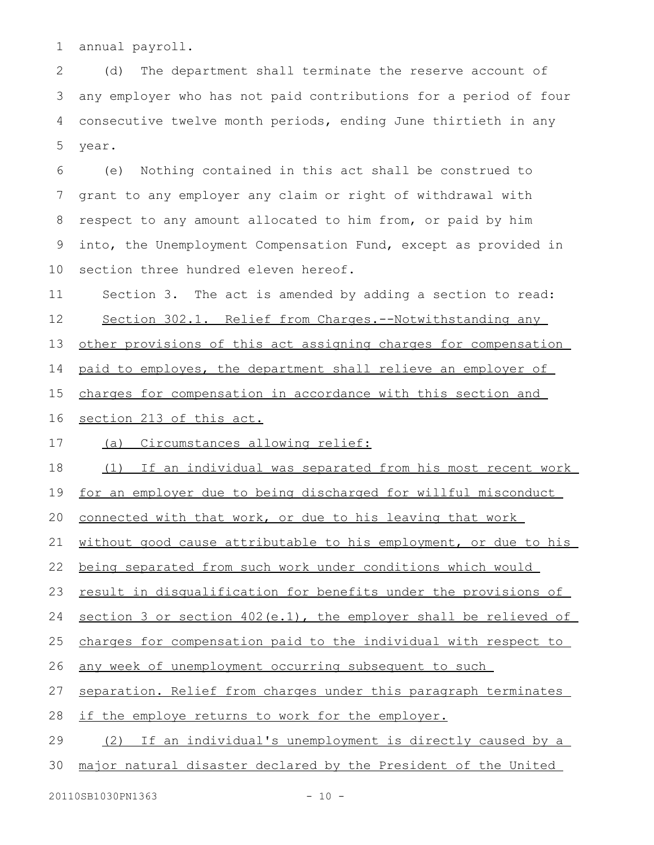annual payroll. 1

(d) The department shall terminate the reserve account of any employer who has not paid contributions for a period of four consecutive twelve month periods, ending June thirtieth in any year. 2 3 4 5

(e) Nothing contained in this act shall be construed to grant to any employer any claim or right of withdrawal with respect to any amount allocated to him from, or paid by him into, the Unemployment Compensation Fund, except as provided in section three hundred eleven hereof. 6 7 8 9 10

Section 3. The act is amended by adding a section to read: 11

Section 302.1. Relief from Charges.--Notwithstanding any 12

other provisions of this act assigning charges for compensation 13

paid to employes, the department shall relieve an employer of 14

charges for compensation in accordance with this section and 15

section 213 of this act. 16

(a) Circumstances allowing relief: 17

(1) If an individual was separated from his most recent work 18

for an employer due to being discharged for willful misconduct 19

connected with that work, or due to his leaving that work 20

without good cause attributable to his employment, or due to his 21

being separated from such work under conditions which would 22

result in disqualification for benefits under the provisions of 23

section 3 or section 402(e.1), the employer shall be relieved of 24

charges for compensation paid to the individual with respect to 25

any week of unemployment occurring subsequent to such 26

separation. Relief from charges under this paragraph terminates 27

if the employe returns to work for the employer. 28

(2) If an individual's unemployment is directly caused by a 29

major natural disaster declared by the President of the United 30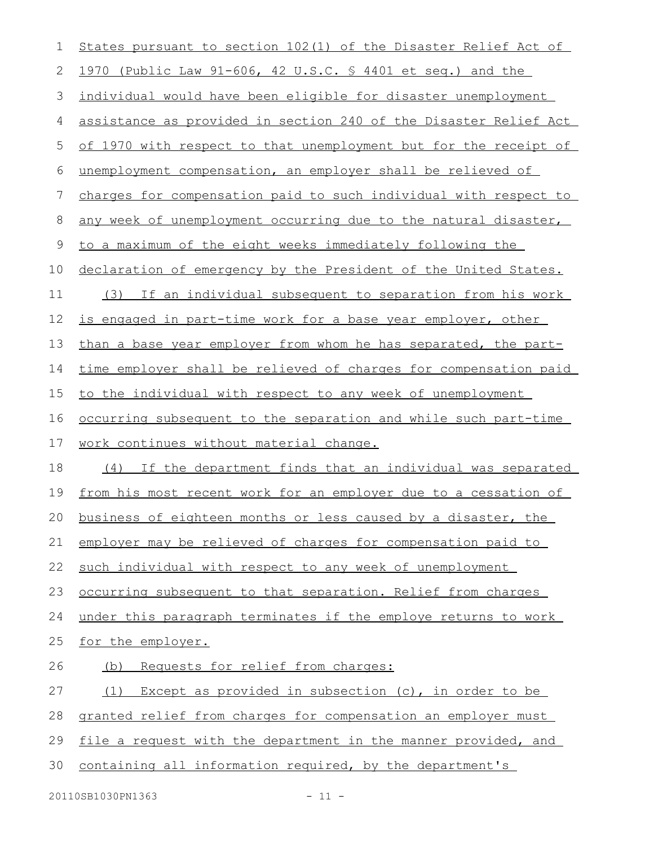| 1  | States pursuant to section 102(1) of the Disaster Relief Act of        |
|----|------------------------------------------------------------------------|
| 2  | 1970 (Public Law 91-606, 42 U.S.C. § 4401 et seq.) and the             |
| 3  | individual would have been eligible for disaster unemployment          |
| 4  | assistance as provided in section 240 of the Disaster Relief Act       |
| 5  | of 1970 with respect to that unemployment but for the receipt of       |
| 6  | unemployment compensation, an employer shall be relieved of            |
| 7  | charges for compensation paid to such individual with respect to       |
| 8  | any week of unemployment occurring due to the natural disaster,        |
| 9  | to a maximum of the eight weeks immediately following the              |
| 10 | declaration of emergency by the President of the United States.        |
| 11 | If an individual subsequent to separation from his work<br>(3)         |
| 12 | is engaged in part-time work for a base year employer, other           |
| 13 | than a base year employer from whom he has separated, the part-        |
| 14 | time employer shall be relieved of charges for compensation paid       |
| 15 | to the individual with respect to any week of unemployment             |
| 16 | <u>occurring subsequent to the separation and while such part-time</u> |
| 17 | work continues without material change.                                |
| 18 | (4) If the department finds that an individual was separated           |
| 19 | from his most recent work for an employer due to a cessation of        |
|    | 20 business of eighteen months or less caused by a disaster, the       |
| 21 | employer may be relieved of charges for compensation paid to           |
| 22 | such individual with respect to any week of unemployment               |
| 23 | occurring subsequent to that separation. Relief from charges           |
| 24 | under this paragraph terminates if the employe returns to work         |
| 25 | for the employer.                                                      |
| 26 | (b) Requests for relief from charges:                                  |
| 27 | (1) Except as provided in subsection (c), in order to be               |
| 28 | granted relief from charges for compensation an employer must          |
| 29 | file a request with the department in the manner provided, and         |
| 30 | containing all information required, by the department's               |
|    |                                                                        |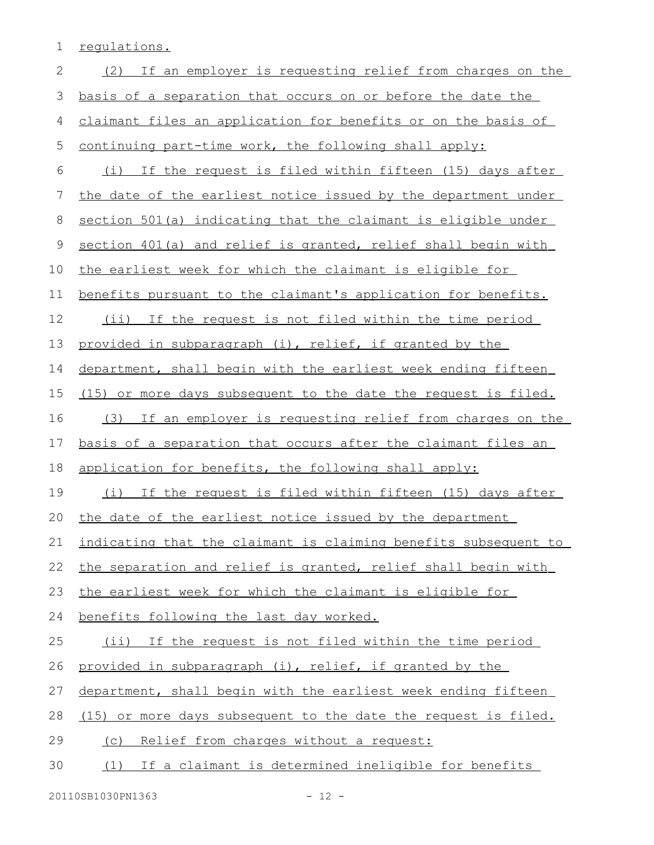1 regulations.

| $\mathbf{2}$ | (2) If an employer is requesting relief from charges on the     |
|--------------|-----------------------------------------------------------------|
| 3            | basis of a separation that occurs on or before the date the     |
| 4            | claimant files an application for benefits or on the basis of   |
| 5            | continuing part-time work, the following shall apply:           |
| 6            | (i) If the request is filed within fifteen (15) days after      |
| 7            | the date of the earliest notice issued by the department under  |
| 8            | section 501(a) indicating that the claimant is eligible under   |
| 9            | section 401(a) and relief is granted, relief shall begin with   |
| 10           | the earliest week for which the claimant is eligible for        |
| 11           | benefits pursuant to the claimant's application for benefits.   |
| 12           | (ii) If the request is not filed within the time period         |
| 13           | provided in subparagraph (i), relief, if granted by the         |
| 14           | department, shall begin with the earliest week ending fifteen   |
| 15           | (15) or more days subsequent to the date the request is filed.  |
| 16           | (3) If an employer is requesting relief from charges on the     |
| 17           | basis of a separation that occurs after the claimant files an   |
| 18           | application for benefits, the following shall apply:            |
|              |                                                                 |
| 19           | (i) If the request is filed within fifteen (15) days after      |
| 20           | the date of the earliest notice issued by the department        |
| 21           | indicating that the claimant is claiming benefits subsequent to |
| 22           | the separation and relief is granted, relief shall begin with   |
| 23           | the earliest week for which the claimant is eligible for        |
| 24           | benefits following the last day worked.                         |
| 25           | (ii) If the request is not filed within the time period         |
| 26           | provided in subparagraph (i), relief, if granted by the         |
| 27           | department, shall begin with the earliest week ending fifteen   |
| 28           | (15) or more days subsequent to the date the request is filed.  |
| 29           | (c) Relief from charges without a request:                      |
| 30           | (1) If a claimant is determined ineligible for benefits         |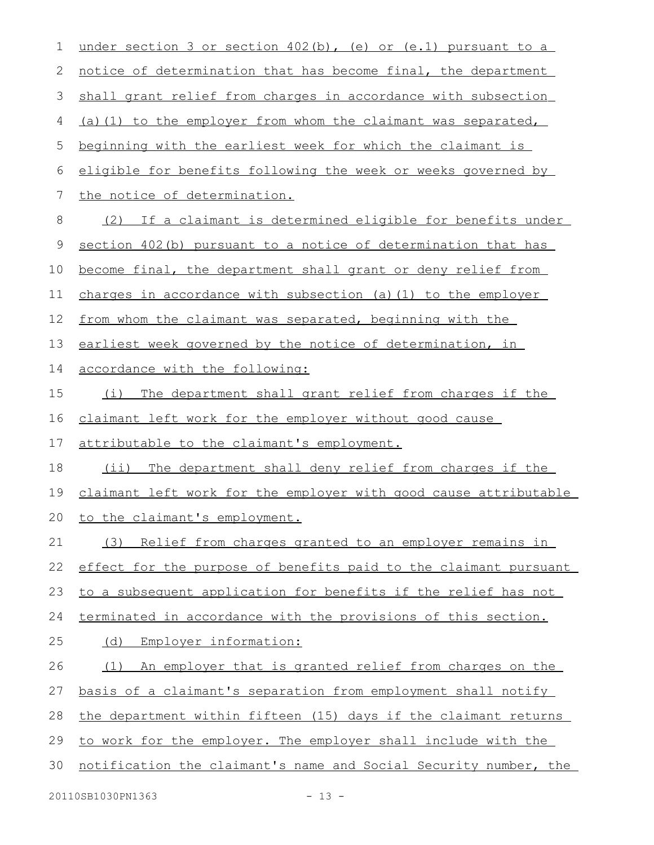| $\mathbf 1$ | under section 3 or section $402(b)$ , (e) or (e.1) pursuant to a |
|-------------|------------------------------------------------------------------|
| 2           | notice of determination that has become final, the department    |
| 3           | shall grant relief from charges in accordance with subsection    |
| 4           | (a) (1) to the employer from whom the claimant was separated,    |
| 5           | beginning with the earliest week for which the claimant is       |
| 6           | eligible for benefits following the week or weeks governed by    |
| 7           | the notice of determination.                                     |
| 8           | If a claimant is determined eligible for benefits under<br>(2)   |
| 9           | section 402(b) pursuant to a notice of determination that has    |
| 10          | become final, the department shall grant or deny relief from     |
| 11          | charges in accordance with subsection (a) (1) to the employer    |
| 12          | from whom the claimant was separated, beginning with the         |
| 13          | earliest week governed by the notice of determination, in        |
| 14          | accordance with the following:                                   |
| 15          | The department shall grant relief from charges if the<br>(i)     |
| 16          | claimant left work for the employer without good cause           |
| 17          | attributable to the claimant's employment.                       |
| 18          | The department shall deny relief from charges if the<br>$(i$ i)  |
| 19          | claimant left work for the employer with good cause attributable |
| 20          | to the claimant's employment.                                    |
| 21          | Relief from charges granted to an employer remains in<br>(3)     |
| 22          | effect for the purpose of benefits paid to the claimant pursuant |
| 23          | to a subsequent application for benefits if the relief has not   |
| 24          | terminated in accordance with the provisions of this section.    |
| 25          | Employer information:<br>(d)                                     |
| 26          | An employer that is granted relief from charges on the<br>(1)    |
| 27          | basis of a claimant's separation from employment shall notify    |
| 28          | the department within fifteen (15) days if the claimant returns  |
| 29          | to work for the employer. The employer shall include with the    |
| 30          | notification the claimant's name and Social Security number, the |
|             |                                                                  |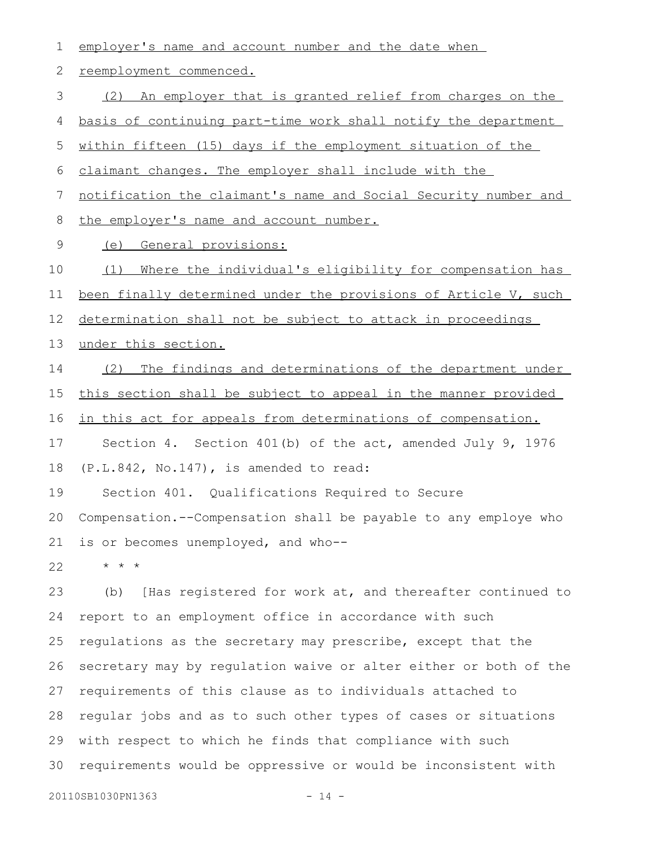| 1              | employer's name and account number and the date when             |
|----------------|------------------------------------------------------------------|
| 2              | reemployment commenced.                                          |
| $\mathfrak{Z}$ | (2) An employer that is granted relief from charges on the       |
| 4              | basis of continuing part-time work shall notify the department   |
| 5              | within fifteen (15) days if the employment situation of the      |
| 6              | claimant changes. The employer shall include with the            |
| 7              | notification the claimant's name and Social Security number and  |
| 8              | the employer's name and account number.                          |
| 9              | General provisions:<br>(e)                                       |
| 10             | Where the individual's eligibility for compensation has<br>(1)   |
| 11             | been finally determined under the provisions of Article V, such  |
| 12             | determination shall not be subject to attack in proceedings      |
| 13             | under this section.                                              |
| 14             | (2) The findings and determinations of the department under      |
| 15             | this section shall be subject to appeal in the manner provided   |
| 16             | in this act for appeals from determinations of compensation.     |
| 17             | Section 4. Section 401(b) of the act, amended July 9, 1976       |
| 18             | (P.L.842, No.147), is amended to read:                           |
| 19             | Section 401. Qualifications Required to Secure                   |
| 20             | Compensation.--Compensation shall be payable to any employe who  |
| 21             | is or becomes unemployed, and who--                              |
| 22             | $\star$ $\star$ $\star$                                          |
| 23             | [Has registered for work at, and thereafter continued to<br>(b)  |
| 24             | report to an employment office in accordance with such           |
| 25             | regulations as the secretary may prescribe, except that the      |
| 26             | secretary may by regulation waive or alter either or both of the |
| 27             | requirements of this clause as to individuals attached to        |
| 28             | regular jobs and as to such other types of cases or situations   |
| 29             | with respect to which he finds that compliance with such         |
| 30             | requirements would be oppressive or would be inconsistent with   |

20110SB1030PN1363 - 14 -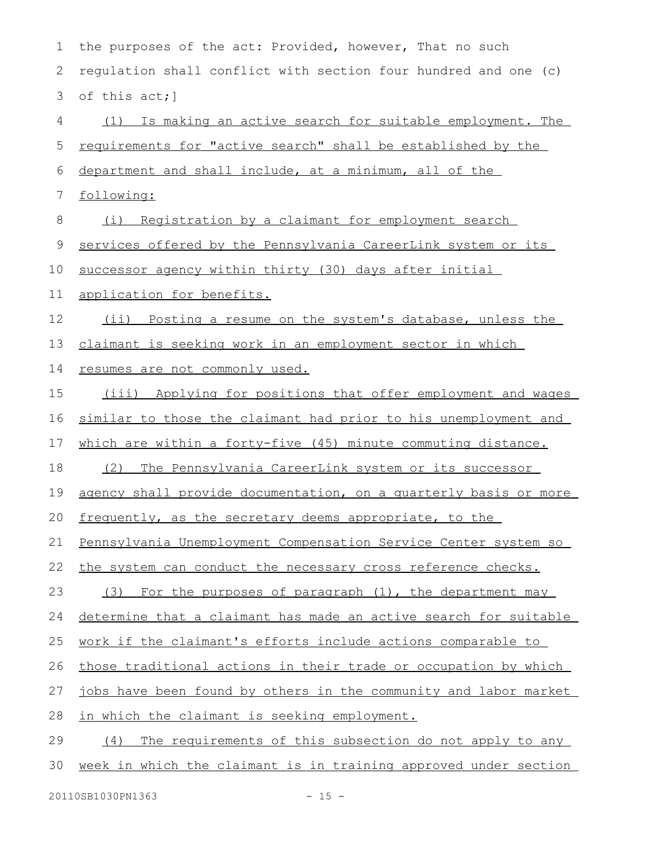| 1  | the purposes of the act: Provided, however, That no such            |
|----|---------------------------------------------------------------------|
| 2  | regulation shall conflict with section four hundred and one (c)     |
| 3  | of this act; ]                                                      |
| 4  | (1) Is making an active search for suitable employment. The         |
| 5  | <u>requirements for "active search" shall be established by the</u> |
| 6  | department and shall include, at a minimum, all of the              |
| 7  | following:                                                          |
| 8  | (i) Registration by a claimant for employment search                |
| 9  | services offered by the Pennsylvania CareerLink system or its       |
| 10 | successor agency within thirty (30) days after initial              |
| 11 | application for benefits.                                           |
| 12 | (ii) Posting a resume on the system's database, unless the          |
| 13 | claimant is seeking work in an employment sector in which           |
| 14 | resumes are not commonly used.                                      |
| 15 | (iii) Applying for positions that offer employment and wages        |
| 16 | similar to those the claimant had prior to his unemployment and     |
| 17 | which are within a forty-five (45) minute commuting distance.       |
| 18 | The Pennsylvania CareerLink system or its successor<br>(2)          |
| 19 | agency shall provide documentation, on a quarterly basis or more    |
| 20 | frequently, as the secretary deems appropriate, to the              |
| 21 | Pennsylvania Unemployment Compensation Service Center system so     |
| 22 | the system can conduct the necessary cross reference checks.        |
| 23 | (3) For the purposes of paragraph (1), the department may           |
| 24 | determine that a claimant has made an active search for suitable    |
| 25 | <u>work if the claimant's efforts include actions comparable to</u> |
| 26 | those traditional actions in their trade or occupation by which     |
| 27 | jobs have been found by others in the community and labor market    |
| 28 | in which the claimant is seeking employment.                        |
| 29 | The requirements of this subsection do not apply to any<br>(4)      |
| 30 | week in which the claimant is in training approved under section    |
|    |                                                                     |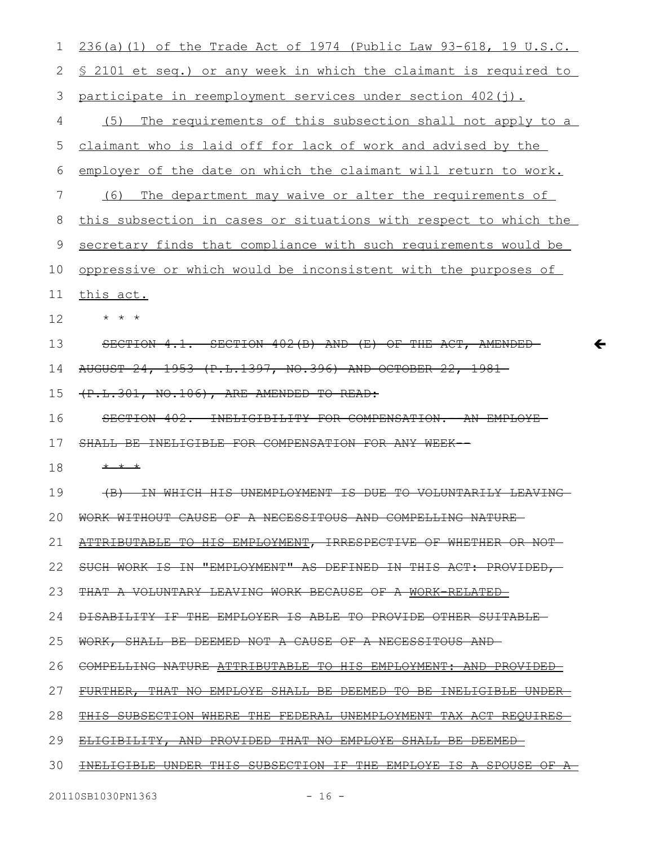| 1             | $236(a)$ (1) of the Trade Act of 1974 (Public Law 93-618, 19 U.S.C.                                       |
|---------------|-----------------------------------------------------------------------------------------------------------|
| 2             | \$ 2101 et seq.) or any week in which the claimant is required to                                         |
| 3             | participate in reemployment services under section 402(j).                                                |
| 4             | The requirements of this subsection shall not apply to a<br>(5)                                           |
| 5             | claimant who is laid off for lack of work and advised by the                                              |
| 6             | employer of the date on which the claimant will return to work.                                           |
| 7             | The department may waive or alter the requirements of<br>(6)                                              |
| 8             | this subsection in cases or situations with respect to which the                                          |
| $\mathcal{G}$ | secretary finds that compliance with such requirements would be                                           |
| 10            | oppressive or which would be inconsistent with the purposes of                                            |
| 11            | this act.                                                                                                 |
| 12            |                                                                                                           |
| 13            | 4.1. SECTION 402(B) AND (E) OF THE ACT, AMENDED<br><del>SECTION</del>                                     |
| 14            | AUGUST 24, 1953 (P.L.1397, NO.396) AND OCTOBER 22, 1981-                                                  |
| 15            | (P.L.301, NO.106), ARE AMENDED TO READ:                                                                   |
| 16            | SECTION 402. INELIGIBILITY FOR COMPENSATION.<br><del>-AN EMPLOYF</del>                                    |
| 17            | <del>SHALL BE INELIGIBLE FOR COMPENSATION FOR ANY WEEK</del>                                              |
| 18            | * * *                                                                                                     |
| 19            | ∓₩<br><del>WHICH</del><br><del>-HIS UNEMPLOYMENT</del><br>ŦS<br><del>-DUE</del><br><del>TO VOLUNTAR</del> |
| 20            | OF A NECESSITOUS AND COMPELLING NATURE-                                                                   |
| 21            | ATTRIBUTABLE TO HIS EMPLOYMENT, IRRESPECTIVE OF WHETHER OR NOT-                                           |
| 22            | SUCH WORK IS IN "EMPLOYMENT" AS DEFINED IN THIS ACT: PROVIDED,                                            |
| 23            | THAT A VOLUNTARY LEAVING WORK BECAUSE OF A WORK-RELATED-                                                  |
| 24            | <del>DISABILITY IF THE EMPLOYER IS ABLE TO PROVIDE OTHER SUITABLE.</del>                                  |
| 25            | WORK, SHALL BE DEEMED NOT A CAUSE OF A NECESSITOUS AND-                                                   |
| 26            | COMPELLING NATURE ATTRIBUTABLE TO HIS EMPLOYMENT: AND PROVIDED                                            |
| 27            | FURTHER, THAT NO EMPLOYE SHALL BE DEEMED TO BE INELIGIBLE UNDER-                                          |
| 28            | THIS SUBSECTION WHERE THE FEDERAL UNEMPLOYMENT TAX ACT REQUIRES-                                          |
| 29            | ELIGIBILITY, AND PROVIDED THAT NO EMPLOYE SHALL BE DEEMED-                                                |
| 30            | <u>ELIGIBLE UNDER THIS SUBSECTION IF THE EMPLOYE IS A SPOUSE OF A-</u>                                    |

 $\leftarrow$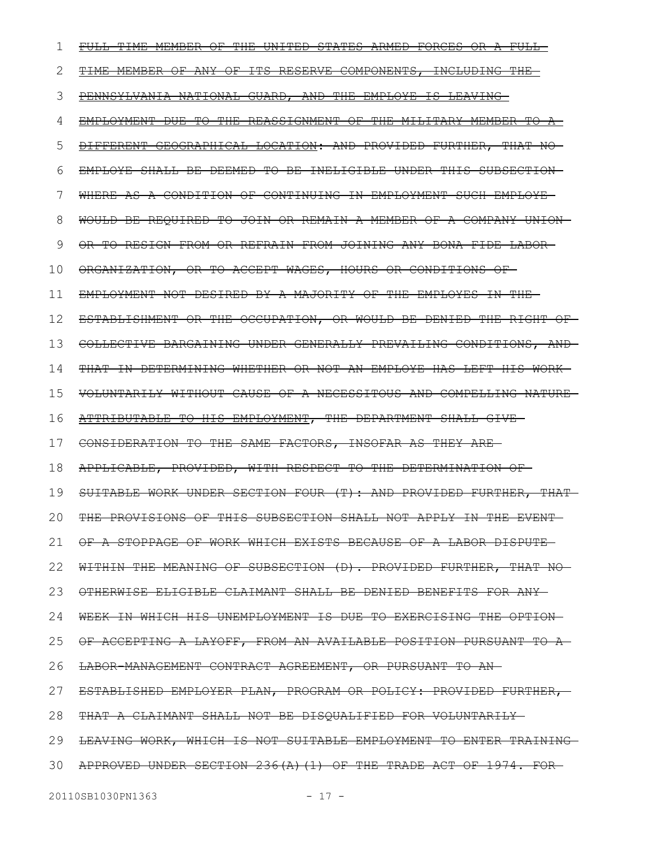| 1  | FULL TIME MEMBER OF THE UNITED STATES ARMED FORCES OR A FULL      |
|----|-------------------------------------------------------------------|
| 2  | TIME MEMBER OF ANY OF ITS RESERVE COMPONENTS, INCLUDING THE       |
| 3  | PENNSYLVANIA NATIONAL GUARD, AND THE EMPLOYE IS LEAVING-          |
| 4  | EMPLOYMENT DUE TO THE REASSIGNMENT OF THE MILITARY MEMBER TO      |
| 5  | DIFFERENT GEOGRAPHICAL LOCATION: AND PROVIDED FURTHER, THAT NO-   |
| 6  | EMPLOYE SHALL BE DEEMED TO BE INELIGIBLE UNDER THIS SUBSECTION-   |
| 7  | WHERE AS A CONDITION OF CONTINUING IN EMPLOYMENT SUCH EMPLOYE-    |
| 8  | WOULD BE REOUIRED TO JOIN OR REMAIN A MEMBER OF A COMPANY UNION-  |
| 9  | OR TO RESIGN FROM OR REFRAIN FROM JOINING ANY BONA FIDE LABOR     |
| 10 | ORGANIZATION, OR TO ACCEPT WAGES, HOURS OR CONDITIONS OF-         |
| 11 | EMPLOYMENT NOT DESIRED BY A MAJORITY OF THE EMPLOYES IN THE-      |
| 12 | ESTABLISHMENT OR THE OCCUPATION, OR WOULD BE DENIED THE RIGHT OF- |
| 13 | COLLECTIVE BARGAINING UNDER GENERALLY PREVAILING CONDITIONS, AND  |
| 14 | THAT IN DETERMINING WHETHER OR NOT AN EMPLOYE HAS LEFT HIS WORK-  |
| 15 | VOLUNTARILY WITHOUT CAUSE OF A NECESSITOUS AND COMPELLING NATURE- |
| 16 | ATTRIBUTABLE TO HIS EMPLOYMENT, THE DEPARTMENT SHALL GIVE-        |
| 17 | CONSIDERATION TO THE SAME FACTORS, INSOFAR AS THEY ARE-           |
| 18 | APPLICABLE, PROVIDED, WITH RESPECT TO THE DETERMINATION OF-       |
| 19 | SUITABLE WORK UNDER SECTION FOUR (T): AND PROVIDED FURTHER, THAT- |
| 20 | THE PROVISIONS OF THIS SUBSECTION SHALL NOT APPLY IN THE EVENT-   |
| 21 | OF A STOPPAGE OF WORK WHICH EXISTS BECAUSE OF A LABOR DISPUTE-    |
| 22 | WITHIN THE MEANING OF SUBSECTION (D). PROVIDED FURTHER, THAT NO   |
| 23 | OTHERWISE ELIGIBLE CLAIMANT SHALL BE DENIED BENEFITS FOR ANY-     |
| 24 | WEEK IN WHICH HIS UNEMPLOYMENT IS DUE TO EXERCISING THE OPTION-   |
| 25 | OF ACCEPTING A LAYOFF, FROM AN AVAILABLE POSITION PURSUANT TO A   |
| 26 | LABOR MANAGEMENT CONTRACT AGREEMENT, OR PURSUANT TO AN            |
| 27 | ESTABLISHED EMPLOYER PLAN, PROGRAM OR POLICY: PROVIDED FURTHER,   |
| 28 | THAT A CLAIMANT SHALL NOT BE DISQUALIFIED FOR VOLUNTARILY-        |
| 29 | LEAVING WORK, WHICH IS NOT SUITABLE EMPLOYMENT TO ENTER TRAINING  |
| 30 | APPROVED UNDER SECTION 236(A)(1) OF THE TRADE ACT OF 1974. FOR-   |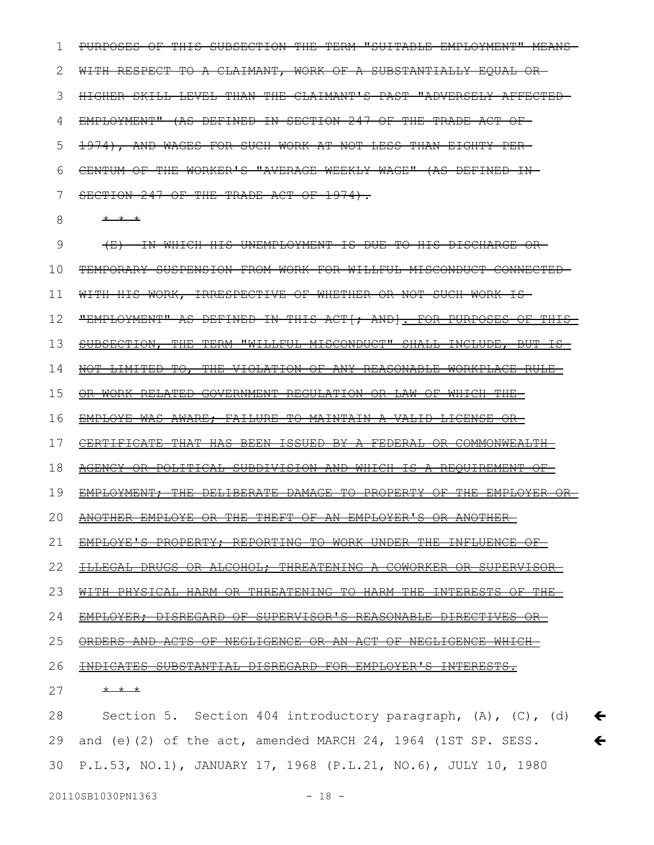PURPOSES OF THIS SUBSECTION THE TERM "SUITABLE EMPLOYMENT" MEANS WITH RESPECT TO A CLAIMANT, WORK OF A SUBSTANTIALLY EQUAL OR-HIGHER SKILL LEVEL THAN THE CLAIMANT'S PAST "ADVERSELY AFFECTED EMPLOYMENT" (AS DEFINED IN SECTION 247 OF THE TRADE ACT OF 1974), AND WAGES FOR SUCH WORK AT NOT LESS THAN EIGHTY PER CENTUM OF THE WORKER'S "AVERAGE WEEKLY WAGE" (AS DEFINED IN SECTION 247 OF THE TRADE ACT OF 1974). 1 2 3 4 5 6 7

\* \* \* 8

(E) IN WHICH HIS UNEMPLOYMENT IS DUE TO HIS DISCHARGE OR TEMPORARY SUSPENSION FROM WORK FOR WILLFUL MISCONDUCT CONNECTED WITH HIS WORK, IRRESPECTIVE OF WHETHER OR NOT SUCH WORK IS-"EMPLOYMENT" AS DEFINED IN THIS ACT[; AND]. FOR PURPOSES OF THIS SUBSECTION, THE TERM "WILLFUL MISCONDUCT" SHALL INCLUDE, BUT IS NOT LIMITED TO, THE VIOLATION OF ANY REASONABLE WORKPLACE RULE OR WORK-RELATED GOVERNMENT REGULATION OR LAW OF WHICH THE EMPLOYE WAS AWARE; FAILURE TO MAINTAIN A VALID LICENSE OR CERTIFICATE THAT HAS BEEN ISSUED BY A FEDERAL OR COMMONWEALTH AGENCY OR POLITICAL SUBDIVISION AND WHICH IS A REQUIREMENT OF EMPLOYMENT; THE DELIBERATE DAMAGE TO PROPERTY OF THE EMPLOYER OR ANOTHER EMPLOYE OR THE THEFT OF AN EMPLOYER'S OR ANOTHER EMPLOYE'S PROPERTY; REPORTING TO WORK UNDER THE INFLUENCE OF ILLEGAL DRUGS OR ALCOHOL; THREATENING A COWORKER OR SUPERVISOR WITH PHYSICAL HARM OR THREATENING TO HARM THE INTERESTS OF THE EMPLOYER; DISREGARD OF SUPERVISOR'S REASONABLE DIRECTIVES OR ORDERS AND ACTS OF NEGLIGENCE OR AN ACT OF NEGLIGENCE WHICH INDICATES SUBSTANTIAL DISREGARD FOR EMPLOYER'S INTERESTS. \* \* \* Section 5. Section 404 introductory paragraph, (A), (C), (d) 9 10 11 12 13 14 15 16 17 18 19 20 21 22 23 24 25 26 27 28

and (e)(2) of the act, amended MARCH 24, 1964 (1ST SP. SESS. P.L.53, NO.1), JANUARY 17, 1968 (P.L.21, NO.6), JULY 10, 1980  $\leftarrow$  $\leftarrow$ 29 30

20110SB1030PN1363 - 18 -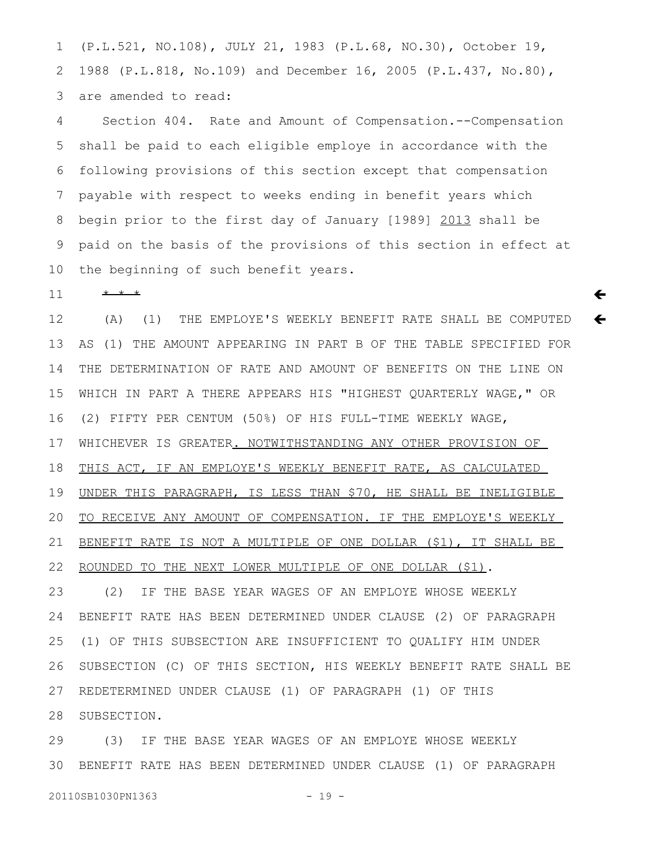(P.L.521, NO.108), JULY 21, 1983 (P.L.68, NO.30), October 19, 1988 (P.L.818, No.109) and December 16, 2005 (P.L.437, No.80), are amended to read: 1 2 3

Section 404. Rate and Amount of Compensation.--Compensation shall be paid to each eligible employe in accordance with the following provisions of this section except that compensation payable with respect to weeks ending in benefit years which begin prior to the first day of January [1989] 2013 shall be paid on the basis of the provisions of this section in effect at the beginning of such benefit years. 4 5 6 7 8 9 10

 $\leftarrow$ 

 $\leftarrow$ 

\* \* \* 11

(A) (1) THE EMPLOYE'S WEEKLY BENEFIT RATE SHALL BE COMPUTED AS (1) THE AMOUNT APPEARING IN PART B OF THE TABLE SPECIFIED FOR THE DETERMINATION OF RATE AND AMOUNT OF BENEFITS ON THE LINE ON WHICH IN PART A THERE APPEARS HIS "HIGHEST QUARTERLY WAGE," OR (2) FIFTY PER CENTUM (50%) OF HIS FULL-TIME WEEKLY WAGE, WHICHEVER IS GREATER. NOTWITHSTANDING ANY OTHER PROVISION OF THIS ACT, IF AN EMPLOYE'S WEEKLY BENEFIT RATE, AS CALCULATED UNDER THIS PARAGRAPH, IS LESS THAN \$70, HE SHALL BE INELIGIBLE TO RECEIVE ANY AMOUNT OF COMPENSATION. IF THE EMPLOYE'S WEEKLY BENEFIT RATE IS NOT A MULTIPLE OF ONE DOLLAR (\$1), IT SHALL BE ROUNDED TO THE NEXT LOWER MULTIPLE OF ONE DOLLAR (\$1). (2) IF THE BASE YEAR WAGES OF AN EMPLOYE WHOSE WEEKLY 12 13 14 15 16 17 18 19 20 21 22 23

BENEFIT RATE HAS BEEN DETERMINED UNDER CLAUSE (2) OF PARAGRAPH (1) OF THIS SUBSECTION ARE INSUFFICIENT TO QUALIFY HIM UNDER SUBSECTION (C) OF THIS SECTION, HIS WEEKLY BENEFIT RATE SHALL BE REDETERMINED UNDER CLAUSE (1) OF PARAGRAPH (1) OF THIS SUBSECTION. 24 25 26 27 28

(3) IF THE BASE YEAR WAGES OF AN EMPLOYE WHOSE WEEKLY BENEFIT RATE HAS BEEN DETERMINED UNDER CLAUSE (1) OF PARAGRAPH 29 30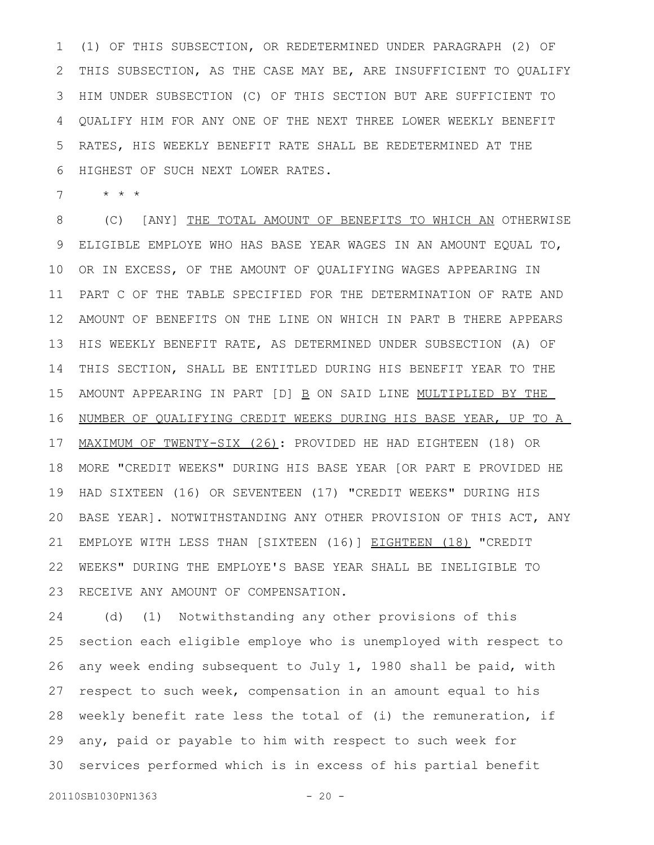(1) OF THIS SUBSECTION, OR REDETERMINED UNDER PARAGRAPH (2) OF THIS SUBSECTION, AS THE CASE MAY BE, ARE INSUFFICIENT TO QUALIFY HIM UNDER SUBSECTION (C) OF THIS SECTION BUT ARE SUFFICIENT TO QUALIFY HIM FOR ANY ONE OF THE NEXT THREE LOWER WEEKLY BENEFIT RATES, HIS WEEKLY BENEFIT RATE SHALL BE REDETERMINED AT THE HIGHEST OF SUCH NEXT LOWER RATES. 1 2 3 4 5 6

\* \* \* 7

(C) [ANY] THE TOTAL AMOUNT OF BENEFITS TO WHICH AN OTHERWISE ELIGIBLE EMPLOYE WHO HAS BASE YEAR WAGES IN AN AMOUNT EQUAL TO, OR IN EXCESS, OF THE AMOUNT OF QUALIFYING WAGES APPEARING IN PART C OF THE TABLE SPECIFIED FOR THE DETERMINATION OF RATE AND AMOUNT OF BENEFITS ON THE LINE ON WHICH IN PART B THERE APPEARS HIS WEEKLY BENEFIT RATE, AS DETERMINED UNDER SUBSECTION (A) OF THIS SECTION, SHALL BE ENTITLED DURING HIS BENEFIT YEAR TO THE AMOUNT APPEARING IN PART [D] B ON SAID LINE MULTIPLIED BY THE NUMBER OF QUALIFYING CREDIT WEEKS DURING HIS BASE YEAR, UP TO A MAXIMUM OF TWENTY-SIX (26): PROVIDED HE HAD EIGHTEEN (18) OR MORE "CREDIT WEEKS" DURING HIS BASE YEAR [OR PART E PROVIDED HE HAD SIXTEEN (16) OR SEVENTEEN (17) "CREDIT WEEKS" DURING HIS BASE YEAR]. NOTWITHSTANDING ANY OTHER PROVISION OF THIS ACT, ANY EMPLOYE WITH LESS THAN [SIXTEEN (16)] EIGHTEEN (18) "CREDIT WEEKS" DURING THE EMPLOYE'S BASE YEAR SHALL BE INELIGIBLE TO RECEIVE ANY AMOUNT OF COMPENSATION. 8 9 10 11 12 13 14 15 16 17 18 19 20 21 22 23

(d) (1) Notwithstanding any other provisions of this section each eligible employe who is unemployed with respect to any week ending subsequent to July 1, 1980 shall be paid, with respect to such week, compensation in an amount equal to his weekly benefit rate less the total of (i) the remuneration, if any, paid or payable to him with respect to such week for services performed which is in excess of his partial benefit 24 25 26 27 28 29 30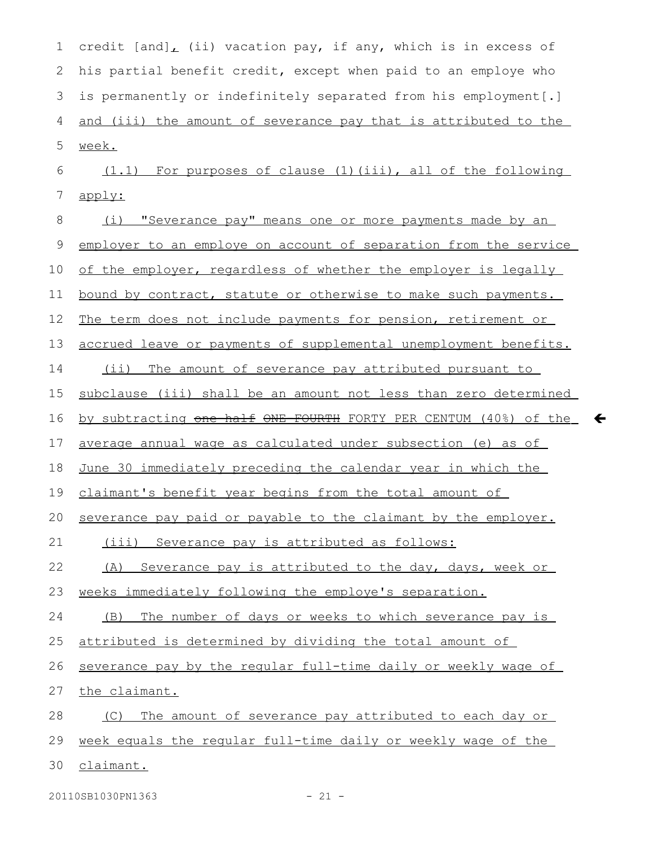credit  $[and]_L$  (ii) vacation pay, if any, which is in excess of his partial benefit credit, except when paid to an employe who is permanently or indefinitely separated from his employment[.] and (iii) the amount of severance pay that is attributed to the week. (1.1) For purposes of clause (1)(iii), all of the following apply: (i) "Severance pay" means one or more payments made by an employer to an employe on account of separation from the service of the employer, regardless of whether the employer is legally bound by contract, statute or otherwise to make such payments. The term does not include payments for pension, retirement or accrued leave or payments of supplemental unemployment benefits. (ii) The amount of severance pay attributed pursuant to subclause (iii) shall be an amount not less than zero determined by subtracting <del>one half ONE FOURTH</del> FORTY PER CENTUM (40%) of the average annual wage as calculated under subsection (e) as of June 30 immediately preceding the calendar year in which the claimant's benefit year begins from the total amount of severance pay paid or payable to the claimant by the employer. (iii) Severance pay is attributed as follows: (A) Severance pay is attributed to the day, days, week or weeks immediately following the employe's separation. (B) The number of days or weeks to which severance pay is attributed is determined by dividing the total amount of severance pay by the regular full-time daily or weekly wage of the claimant. (C) The amount of severance pay attributed to each day or week equals the regular full-time daily or weekly wage of the claimant. 1 2 3 4 5 6 7 8 9 10 11 12 13 14 15 16 17 18 19 20 21 22 23 24 25 26 27 28 29 30

20110SB1030PN1363 - 21 -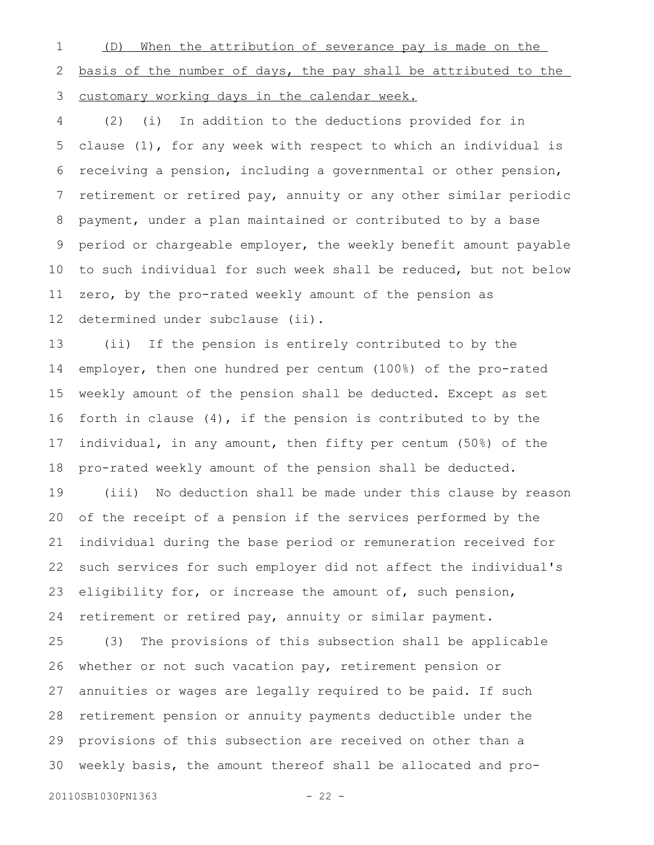(D) When the attribution of severance pay is made on the basis of the number of days, the pay shall be attributed to the customary working days in the calendar week. 1 2 3

(2) (i) In addition to the deductions provided for in clause (1), for any week with respect to which an individual is receiving a pension, including a governmental or other pension, retirement or retired pay, annuity or any other similar periodic payment, under a plan maintained or contributed to by a base period or chargeable employer, the weekly benefit amount payable to such individual for such week shall be reduced, but not below zero, by the pro-rated weekly amount of the pension as determined under subclause (ii). 4 5 6 7 8 9 10 11 12

(ii) If the pension is entirely contributed to by the employer, then one hundred per centum (100%) of the pro-rated weekly amount of the pension shall be deducted. Except as set forth in clause (4), if the pension is contributed to by the individual, in any amount, then fifty per centum (50%) of the pro-rated weekly amount of the pension shall be deducted. 13 14 15 16 17 18

(iii) No deduction shall be made under this clause by reason of the receipt of a pension if the services performed by the individual during the base period or remuneration received for such services for such employer did not affect the individual's eligibility for, or increase the amount of, such pension, retirement or retired pay, annuity or similar payment. 19 20 21 22 23 24

(3) The provisions of this subsection shall be applicable whether or not such vacation pay, retirement pension or annuities or wages are legally required to be paid. If such retirement pension or annuity payments deductible under the provisions of this subsection are received on other than a weekly basis, the amount thereof shall be allocated and pro-25 26 27 28 29 30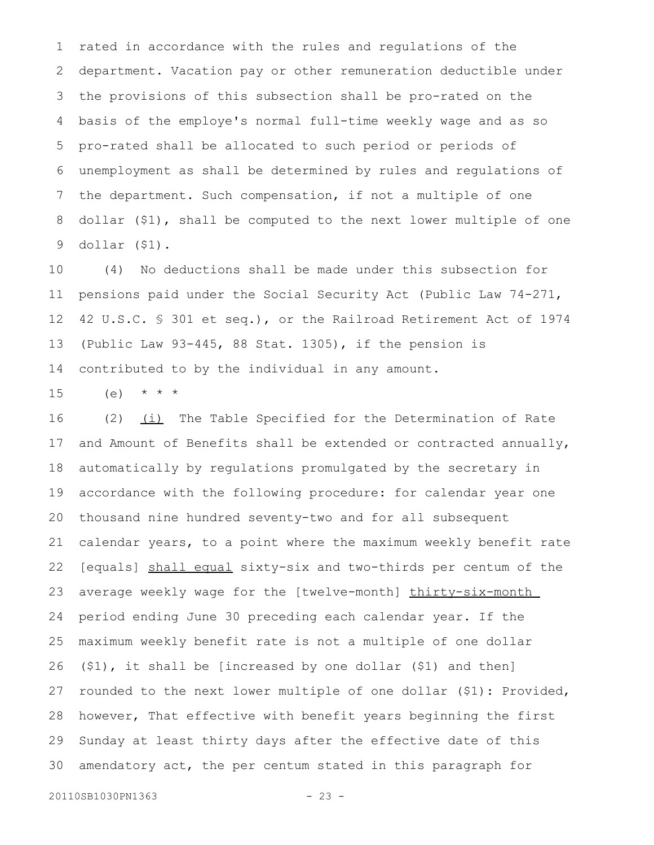rated in accordance with the rules and regulations of the department. Vacation pay or other remuneration deductible under the provisions of this subsection shall be pro-rated on the basis of the employe's normal full-time weekly wage and as so pro-rated shall be allocated to such period or periods of unemployment as shall be determined by rules and regulations of the department. Such compensation, if not a multiple of one dollar (\$1), shall be computed to the next lower multiple of one dollar (\$1). 1 2 3 4 5 6 7 8 9

(4) No deductions shall be made under this subsection for pensions paid under the Social Security Act (Public Law 74-271, 42 U.S.C. § 301 et seq.), or the Railroad Retirement Act of 1974 (Public Law 93-445, 88 Stat. 1305), if the pension is contributed to by the individual in any amount. 10 11 12 13 14

(e)  $* * * *$ 15

(2)  $(i)$  The Table Specified for the Determination of Rate and Amount of Benefits shall be extended or contracted annually, automatically by regulations promulgated by the secretary in accordance with the following procedure: for calendar year one thousand nine hundred seventy-two and for all subsequent calendar years, to a point where the maximum weekly benefit rate [equals] shall equal sixty-six and two-thirds per centum of the average weekly wage for the [twelve-month] thirty-six-month period ending June 30 preceding each calendar year. If the maximum weekly benefit rate is not a multiple of one dollar (\$1), it shall be [increased by one dollar (\$1) and then] rounded to the next lower multiple of one dollar (\$1): Provided, however, That effective with benefit years beginning the first Sunday at least thirty days after the effective date of this amendatory act, the per centum stated in this paragraph for 16 17 18 19 20 21 22 23 24 25 26 27 28 29 30

20110SB1030PN1363 - 23 -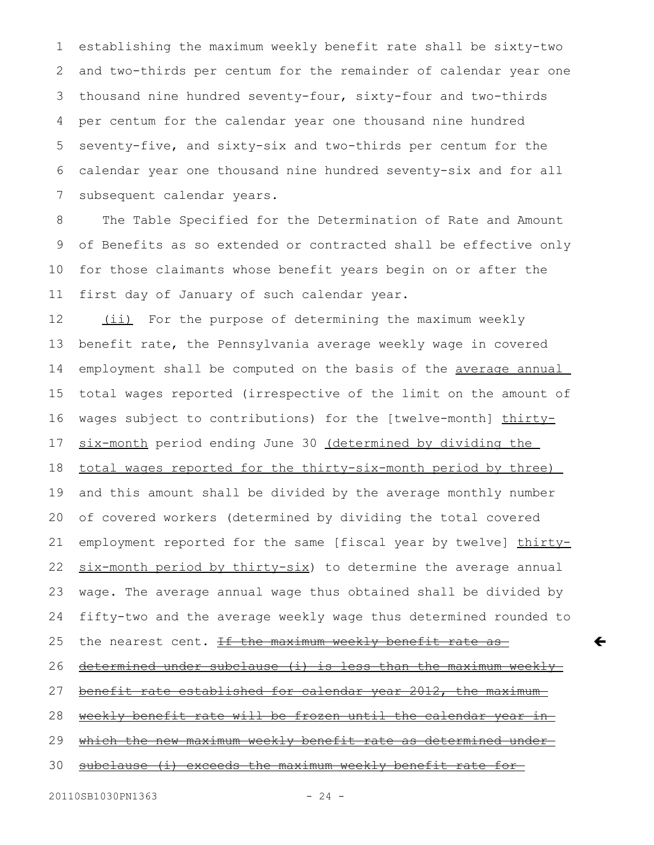establishing the maximum weekly benefit rate shall be sixty-two and two-thirds per centum for the remainder of calendar year one thousand nine hundred seventy-four, sixty-four and two-thirds per centum for the calendar year one thousand nine hundred seventy-five, and sixty-six and two-thirds per centum for the calendar year one thousand nine hundred seventy-six and for all subsequent calendar years. 1 2 3 4 5 6 7

The Table Specified for the Determination of Rate and Amount of Benefits as so extended or contracted shall be effective only for those claimants whose benefit years begin on or after the first day of January of such calendar year. 8 9 10 11

(ii) For the purpose of determining the maximum weekly benefit rate, the Pennsylvania average weekly wage in covered employment shall be computed on the basis of the average annual total wages reported (irrespective of the limit on the amount of wages subject to contributions) for the [twelve-month] thirtysix-month period ending June 30 (determined by dividing the total wages reported for the thirty-six-month period by three) and this amount shall be divided by the average monthly number of covered workers (determined by dividing the total covered employment reported for the same [fiscal year by twelve] thirtysix-month period by thirty-six) to determine the average annual wage. The average annual wage thus obtained shall be divided by fifty-two and the average weekly wage thus determined rounded to the nearest cent. If the maximum weekly benefit rate as determined under subclause (i) is less than the maximum weekly benefit rate established for calendar year 2012, the maximum weekly benefit rate will be frozen until the calendar year in which the new maximum weekly benefit rate as determined undersubclause (i) exceeds the maximum weekly benefit rate for 12 13 14 15 16 17 18 19 20 21 22 23 24 25 26 27 28 29 30

$$
-24-
$$

 $\leftarrow$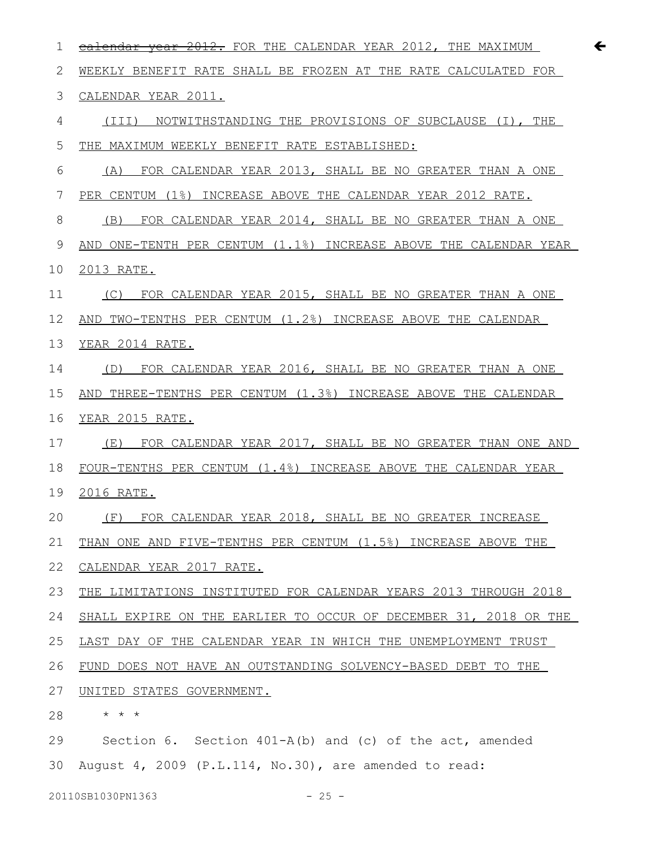| 1  | $\leftarrow$<br>ealendar year 2012. FOR THE CALENDAR YEAR 2012, THE MAXIMUM |
|----|-----------------------------------------------------------------------------|
| 2  | WEEKLY BENEFIT RATE SHALL BE FROZEN AT THE RATE CALCULATED FOR              |
| 3  | CALENDAR YEAR 2011.                                                         |
| 4  | (III) NOTWITHSTANDING THE PROVISIONS OF SUBCLAUSE (I), THE                  |
| 5  | THE MAXIMUM WEEKLY BENEFIT RATE ESTABLISHED:                                |
| 6  | (A) FOR CALENDAR YEAR 2013, SHALL BE NO GREATER THAN A ONE                  |
| 7  | PER CENTUM (1%) INCREASE ABOVE THE CALENDAR YEAR 2012 RATE.                 |
| 8  | FOR CALENDAR YEAR 2014, SHALL BE NO GREATER THAN A ONE<br>(B)               |
| 9  | AND ONE-TENTH PER CENTUM (1.1%) INCREASE ABOVE THE CALENDAR YEAR            |
| 10 | 2013 RATE.                                                                  |
| 11 | (C) FOR CALENDAR YEAR 2015, SHALL BE NO GREATER THAN A ONE                  |
| 12 | AND TWO-TENTHS PER CENTUM (1.2%) INCREASE ABOVE THE CALENDAR                |
| 13 | YEAR 2014 RATE.                                                             |
| 14 | (D) FOR CALENDAR YEAR 2016, SHALL BE NO GREATER THAN A ONE                  |
| 15 | AND THREE-TENTHS PER CENTUM (1.3%) INCREASE ABOVE THE CALENDAR              |
| 16 | YEAR 2015 RATE.                                                             |
| 17 | FOR CALENDAR YEAR 2017, SHALL BE NO GREATER THAN ONE AND<br>( E )           |
| 18 | FOUR-TENTHS PER CENTUM (1.4%) INCREASE ABOVE THE CALENDAR YEAR              |
| 19 | 2016 RATE.                                                                  |
| 20 | (F) FOR CALENDAR YEAR 2018, SHALL BE NO GREATER INCREASE                    |
| 21 | THAN ONE AND FIVE-TENTHS PER CENTUM (1.5%) INCREASE ABOVE THE               |
| 22 | CALENDAR YEAR 2017 RATE.                                                    |
| 23 | THE LIMITATIONS INSTITUTED FOR CALENDAR YEARS 2013 THROUGH 2018             |
| 24 | SHALL EXPIRE ON THE EARLIER TO OCCUR OF DECEMBER 31, 2018 OR THE            |
| 25 | LAST DAY OF THE CALENDAR YEAR IN WHICH THE UNEMPLOYMENT TRUST               |
| 26 | FUND DOES NOT HAVE AN OUTSTANDING SOLVENCY-BASED DEBT TO THE                |
| 27 | UNITED STATES GOVERNMENT.                                                   |
| 28 | $\star$ $\star$<br>$\star$                                                  |
| 29 |                                                                             |
|    | Section 6. Section $401 - A(b)$ and (c) of the act, amended                 |

20110SB1030PN1363 - 25 -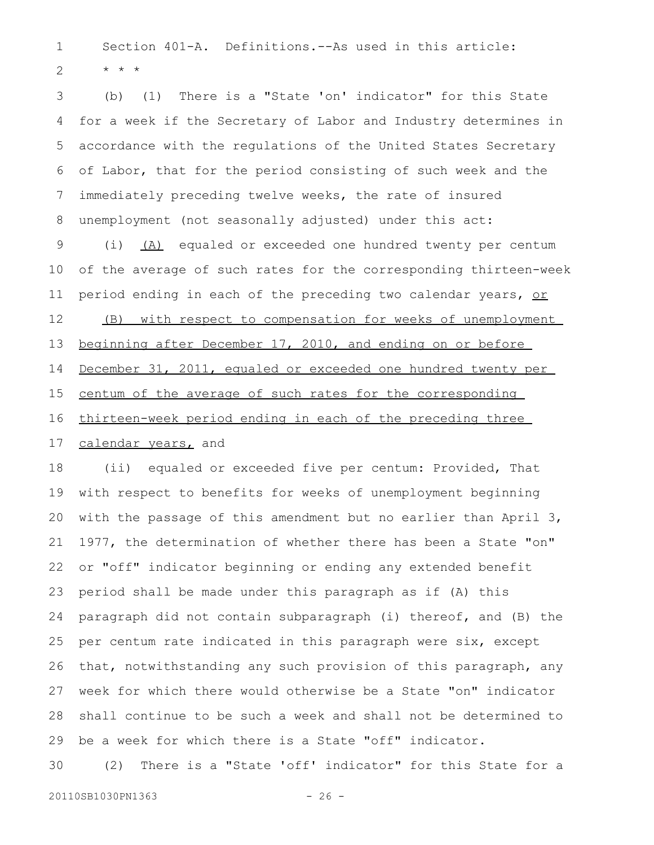Section 401-A. Definitions.--As used in this article: \* \* \* 1 2

(b) (1) There is a "State 'on' indicator" for this State for a week if the Secretary of Labor and Industry determines in accordance with the regulations of the United States Secretary of Labor, that for the period consisting of such week and the immediately preceding twelve weeks, the rate of insured unemployment (not seasonally adjusted) under this act: 3 4 5 6 7 8

(i) (A) equaled or exceeded one hundred twenty per centum of the average of such rates for the corresponding thirteen-week period ending in each of the preceding two calendar years, or (B) with respect to compensation for weeks of unemployment beginning after December 17, 2010, and ending on or before December 31, 2011, equaled or exceeded one hundred twenty per centum of the average of such rates for the corresponding thirteen-week period ending in each of the preceding three calendar years, and 9 10 11 12 13 14 15 16 17

(ii) equaled or exceeded five per centum: Provided, That with respect to benefits for weeks of unemployment beginning with the passage of this amendment but no earlier than April 3, 1977, the determination of whether there has been a State "on" or "off" indicator beginning or ending any extended benefit period shall be made under this paragraph as if (A) this paragraph did not contain subparagraph (i) thereof, and (B) the per centum rate indicated in this paragraph were six, except that, notwithstanding any such provision of this paragraph, any week for which there would otherwise be a State "on" indicator shall continue to be such a week and shall not be determined to be a week for which there is a State "off" indicator. 18 19 20 21 22 23 24 25 26 27 28 29

(2) There is a "State 'off' indicator" for this State for a 30

20110SB1030PN1363 - 26 -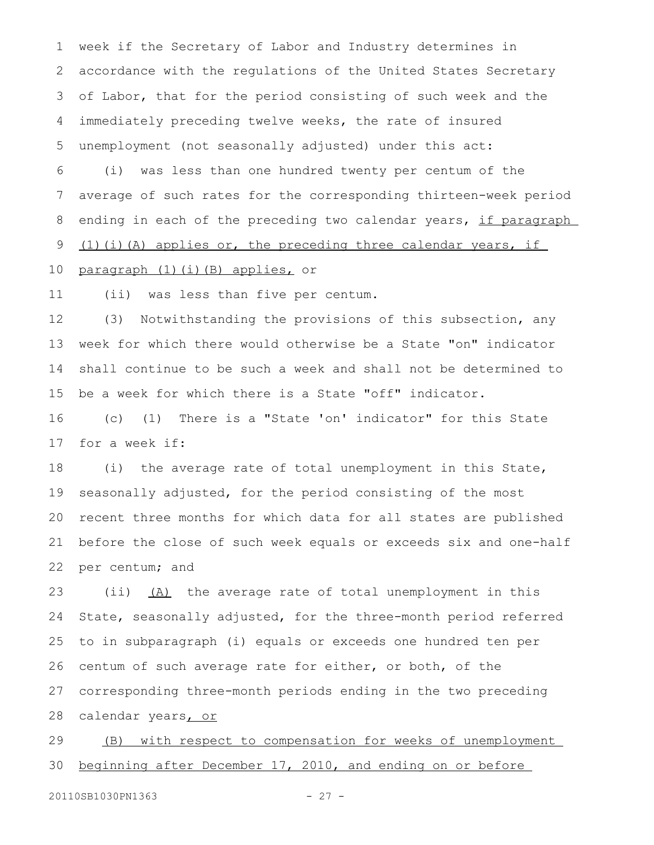week if the Secretary of Labor and Industry determines in accordance with the regulations of the United States Secretary of Labor, that for the period consisting of such week and the immediately preceding twelve weeks, the rate of insured unemployment (not seasonally adjusted) under this act: 1 2 3 4 5

(i) was less than one hundred twenty per centum of the average of such rates for the corresponding thirteen-week period ending in each of the preceding two calendar years, if paragraph  $(1)$  (i)(A) applies or, the preceding three calendar years, if 6 7 8 9

paragraph (1)(i)(B) applies, or 10

(ii) was less than five per centum. 11

(3) Notwithstanding the provisions of this subsection, any week for which there would otherwise be a State "on" indicator shall continue to be such a week and shall not be determined to be a week for which there is a State "off" indicator. 12 13 14 15

(c) (1) There is a "State 'on' indicator" for this State for a week if: 16 17

(i) the average rate of total unemployment in this State, seasonally adjusted, for the period consisting of the most recent three months for which data for all states are published before the close of such week equals or exceeds six and one-half per centum; and 18 19 20 21 22

(ii) (A) the average rate of total unemployment in this State, seasonally adjusted, for the three-month period referred to in subparagraph (i) equals or exceeds one hundred ten per centum of such average rate for either, or both, of the corresponding three-month periods ending in the two preceding calendar years, or 23 24 25 26 27 28

(B) with respect to compensation for weeks of unemployment beginning after December 17, 2010, and ending on or before 29 30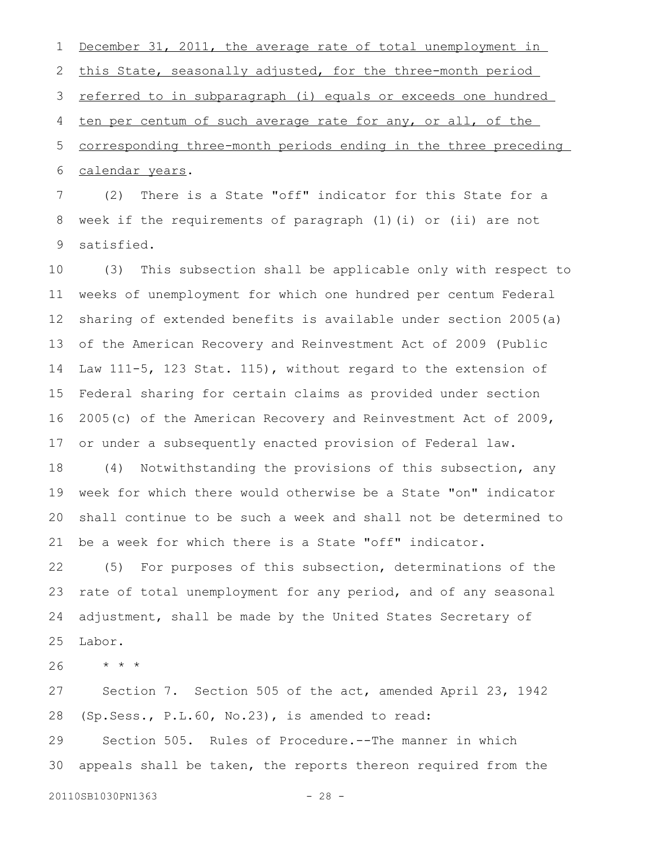December 31, 2011, the average rate of total unemployment in this State, seasonally adjusted, for the three-month period referred to in subparagraph (i) equals or exceeds one hundred ten per centum of such average rate for any, or all, of the corresponding three-month periods ending in the three preceding calendar years. 1 2 3 4 5 6

(2) There is a State "off" indicator for this State for a week if the requirements of paragraph (1)(i) or (ii) are not satisfied. 7 8 9

(3) This subsection shall be applicable only with respect to weeks of unemployment for which one hundred per centum Federal sharing of extended benefits is available under section 2005(a) of the American Recovery and Reinvestment Act of 2009 (Public Law 111-5, 123 Stat. 115), without regard to the extension of Federal sharing for certain claims as provided under section 2005(c) of the American Recovery and Reinvestment Act of 2009, or under a subsequently enacted provision of Federal law. 10 11 12 13 14 15 16 17

(4) Notwithstanding the provisions of this subsection, any week for which there would otherwise be a State "on" indicator shall continue to be such a week and shall not be determined to be a week for which there is a State "off" indicator. 18 19 20 21

(5) For purposes of this subsection, determinations of the rate of total unemployment for any period, and of any seasonal adjustment, shall be made by the United States Secretary of Labor. 22 23 24 25

\* \* \* 26

Section 7. Section 505 of the act, amended April 23, 1942 (Sp.Sess., P.L.60, No.23), is amended to read: Section 505. Rules of Procedure.--The manner in which appeals shall be taken, the reports thereon required from the 27 28 29 30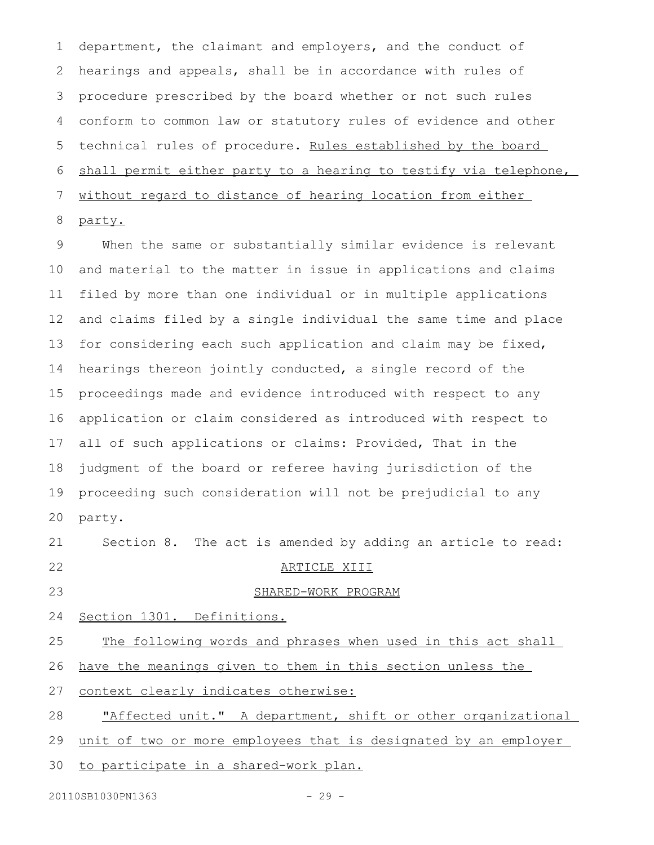department, the claimant and employers, and the conduct of hearings and appeals, shall be in accordance with rules of procedure prescribed by the board whether or not such rules conform to common law or statutory rules of evidence and other technical rules of procedure. Rules established by the board shall permit either party to a hearing to testify via telephone, without regard to distance of hearing location from either party. 1 2 3 4 5 6 7 8

When the same or substantially similar evidence is relevant and material to the matter in issue in applications and claims filed by more than one individual or in multiple applications and claims filed by a single individual the same time and place for considering each such application and claim may be fixed, hearings thereon jointly conducted, a single record of the proceedings made and evidence introduced with respect to any application or claim considered as introduced with respect to all of such applications or claims: Provided, That in the judgment of the board or referee having jurisdiction of the proceeding such consideration will not be prejudicial to any party. 9 10 11 12 13 14 15 16 17 18 19 20

Section 8. The act is amended by adding an article to read: ARTICLE XIII 21 22

23

# SHARED-WORK PROGRAM

Section 1301. Definitions. 24

#### The following words and phrases when used in this act shall 25

- have the meanings given to them in this section unless the 26
- context clearly indicates otherwise: 27
- "Affected unit." A department, shift or other organizational 28
- unit of two or more employees that is designated by an employer 29
- to participate in a shared-work plan. 30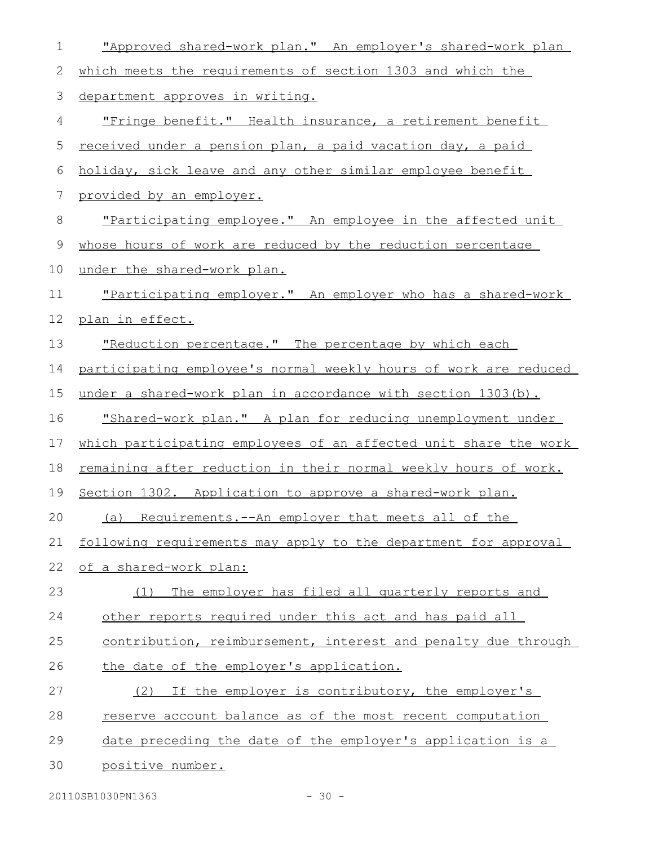| 1              | "Approved shared-work plan." An employer's shared-work plan       |
|----------------|-------------------------------------------------------------------|
| 2              | which meets the requirements of section 1303 and which the        |
| 3              | department approves in writing.                                   |
| 4              | "Fringe benefit." Health insurance, a retirement benefit          |
| 5              | received under a pension plan, a paid vacation day, a paid        |
| 6              | holiday, sick leave and any other similar employee benefit        |
| $\overline{7}$ | provided by an employer.                                          |
| 8              | <u>"Participating employee." An employee in the affected unit</u> |
| $\mathsf 9$    | whose hours of work are reduced by the reduction percentage       |
| 10             | under the shared-work plan.                                       |
| 11             | "Participating employer." An employer who has a shared-work       |
| 12             | plan in effect.                                                   |
| 13             | "Reduction percentage." The percentage by which each              |
| 14             | participating employee's normal weekly hours of work are reduced  |
| 15             | under a shared-work plan in accordance with section 1303(b).      |
| 16             | "Shared-work plan." A plan for reducing unemployment under        |
| 17             | which participating employees of an affected unit share the work  |
| 18             | remaining after reduction in their normal weekly hours of work.   |
| 19             | Section 1302. Application to approve a shared-work plan.          |
| 20             | (a) Requirements.--An employer that meets all of the              |
| 21             | following requirements may apply to the department for approval   |
| 22             | of a shared-work plan:                                            |
| 23             | The employer has filed all quarterly reports and<br>(1)           |
| 24             | other reports required under this act and has paid all            |
| 25             | contribution, reimbursement, interest and penalty due through     |
| 26             | the date of the employer's application.                           |
| 27             | If the employer is contributory, the employer's<br>(2)            |
| 28             | reserve account balance as of the most recent computation         |
| 29             | date preceding the date of the employer's application is a        |
| 30             | positive number.                                                  |
|                |                                                                   |

20110SB1030PN1363 - 30 -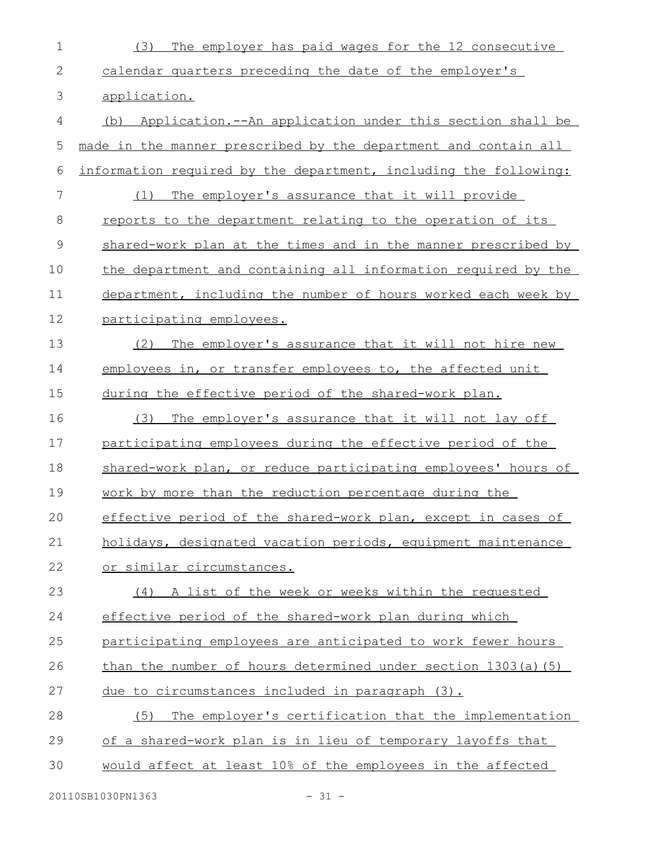| $\mathbf 1$ | The employer has paid wages for the 12 consecutive<br>(3)        |
|-------------|------------------------------------------------------------------|
| 2           | calendar quarters preceding the date of the employer's           |
| 3           | application.                                                     |
| 4           | (b) Application.--An application under this section shall be     |
| 5           | made in the manner prescribed by the department and contain all  |
| 6           | information required by the department, including the following: |
| 7           | The employer's assurance that it will provide<br>(1)             |
| $\,8\,$     | reports to the department relating to the operation of its       |
| $\mathsf 9$ | shared-work plan at the times and in the manner prescribed by    |
| 10          | the department and containing all information required by the    |
| 11          | department, including the number of hours worked each week by    |
| 12          | participating employees.                                         |
| 13          | (2)<br>The employer's assurance that it will not hire new        |
| 14          | employees in, or transfer employees to, the affected unit        |
| 15          | during the effective period of the shared-work plan.             |
| 16          | (3)<br>The employer's assurance that it will not lay off         |
| 17          | participating employees during the effective period of the       |
| 18          | shared-work plan, or reduce participating employees' hours of    |
| 19          | work by more than the reduction percentage during the            |
| 20          | effective period of the shared-work plan, except in cases of     |
| 21          | holidays, designated vacation periods, equipment maintenance     |
| 22          | or similar circumstances.                                        |
| 23          | (4) A list of the week or weeks within the requested             |
| 24          | effective period of the shared-work plan during which            |
| 25          | participating employees are anticipated to work fewer hours      |
| 26          | than the number of hours determined under section 1303(a) (5)    |
| 27          | due to circumstances included in paragraph (3).                  |
| 28          | The employer's certification that the implementation<br>(5)      |
| 29          | of a shared-work plan is in lieu of temporary layoffs that       |
| 30          | would affect at least 10% of the employees in the affected       |
|             |                                                                  |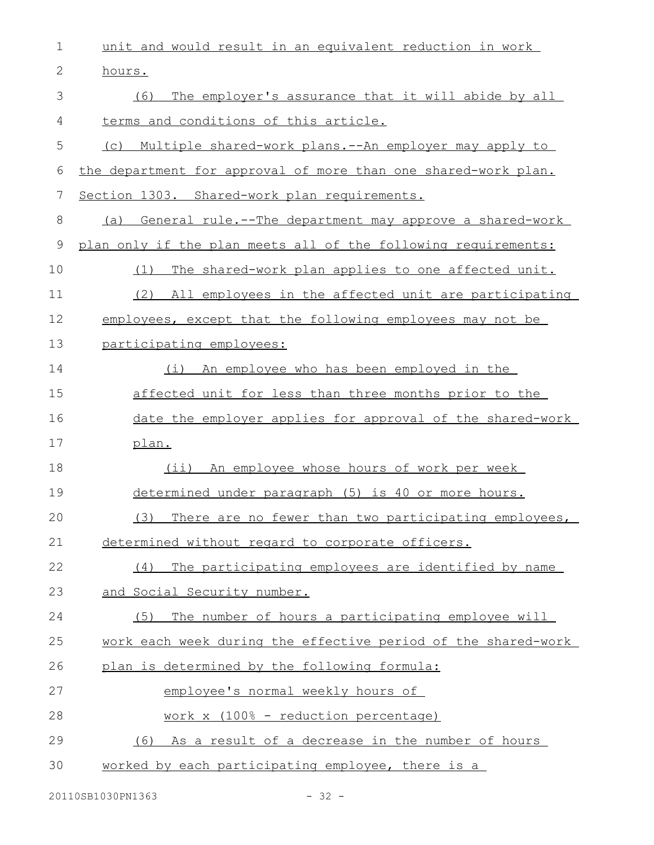| $\mathbf 1$  | unit and would result in an equivalent reduction in work       |
|--------------|----------------------------------------------------------------|
| $\mathbf{2}$ | hours.                                                         |
| 3            | The employer's assurance that it will abide by all<br>(6)      |
| 4            | terms and conditions of this article.                          |
| 5            | (c) Multiple shared-work plans.--An employer may apply to      |
| 6            | the department for approval of more than one shared-work plan. |
| 7            | Section 1303. Shared-work plan requirements.                   |
| 8            | (a) General rule.--The department may approve a shared-work    |
| 9            | plan only if the plan meets all of the following requirements: |
| 10           | The shared-work plan applies to one affected unit.<br>(1)      |
| 11           | (2)<br>All employees in the affected unit are participating    |
| 12           | employees, except that the following employees may not be      |
| 13           | participating employees:                                       |
| 14           | An employee who has been employed in the<br>(i)                |
| 15           | affected unit for less than three months prior to the          |
| 16           | date the employer applies for approval of the shared-work      |
| 17           | plan.                                                          |
| 18           | (ii) An employee whose hours of work per week                  |
| 19           | determined under paragraph (5) is 40 or more hours.            |
| 20           | (3) There are no fewer than two participating employees,       |
| 21           | determined without regard to corporate officers.               |
| 22           | The participating employees are identified by name<br>(4)      |
| 23           | and Social Security number.                                    |
| 24           | (5) The number of hours a participating employee will          |
| 25           | work each week during the effective period of the shared-work  |
| 26           | plan is determined by the following formula:                   |
| 27           | employee's normal weekly hours of                              |
| 28           | work x (100% - reduction percentage)                           |
| 29           | (6) As a result of a decrease in the number of hours           |
| 30           | worked by each participating employee, there is a              |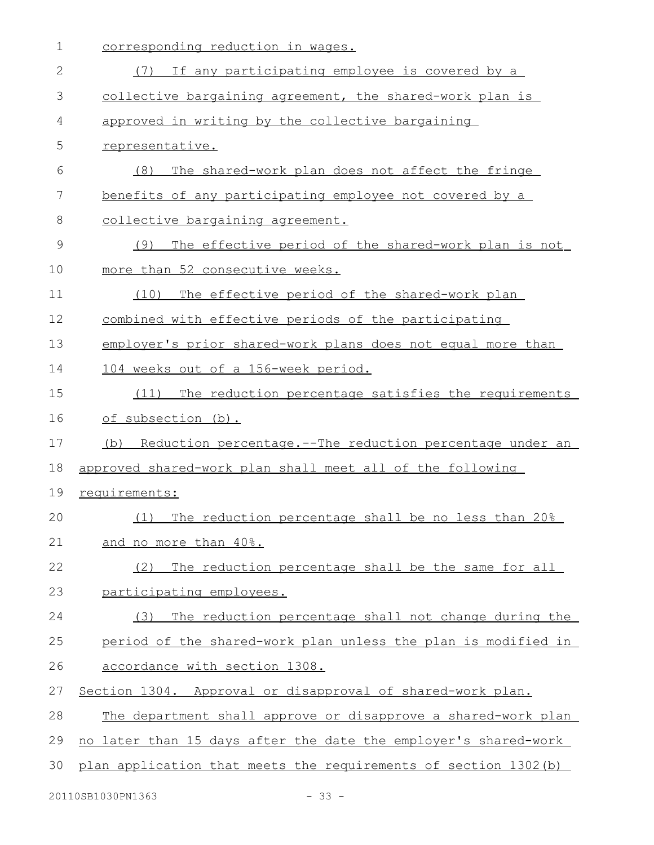| $\mathbf 1$   | corresponding reduction in wages.                                |
|---------------|------------------------------------------------------------------|
| 2             | If any participating employee is covered by a<br>(7)             |
| 3             | collective bargaining agreement, the shared-work plan is         |
| 4             | approved in writing by the collective bargaining                 |
| 5             | representative.                                                  |
| 6             | The shared-work plan does not affect the fringe<br>(8)           |
| 7             | benefits of any participating employee not covered by a          |
| 8             | collective bargaining agreement.                                 |
| $\mathcal{G}$ | The effective period of the shared-work plan is not<br>(9)       |
| 10            | more than 52 consecutive weeks.                                  |
| 11            | The effective period of the shared-work plan<br>(10)             |
| 12            | combined with effective periods of the participating             |
| 13            | employer's prior shared-work plans does not equal more than      |
| 14            | 104 weeks out of a 156-week period.                              |
| 15            | The reduction percentage satisfies the requirements<br>(11)      |
| 16            | of subsection (b).                                               |
| 17            | (b) Reduction percentage.--The reduction percentage under an     |
| 18            | approved shared-work plan shall meet all of the following        |
| 19            | requirements:                                                    |
| 20            | (1) The reduction percentage shall be no less than 20%           |
| 21            | and no more than 40%.                                            |
| 22            | The reduction percentage shall be the same for all<br>(2)        |
| 23            | participating employees.                                         |
| 24            | The reduction percentage shall not change during the<br>(3)      |
| 25            | period of the shared-work plan unless the plan is modified in    |
| 26            | accordance with section 1308.                                    |
| 27            | Section 1304. Approval or disapproval of shared-work plan.       |
| 28            | The department shall approve or disapprove a shared-work plan    |
| 29            | no later than 15 days after the date the employer's shared-work  |
| 30            | plan application that meets the requirements of section 1302 (b) |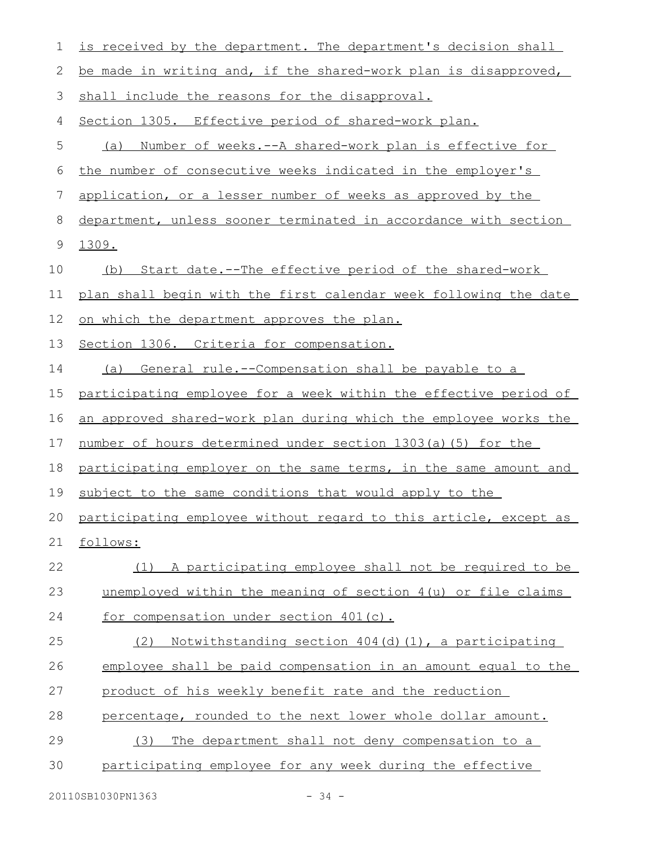| 1           | is received by the department. The department's decision shall      |
|-------------|---------------------------------------------------------------------|
| 2           | be made in writing and, if the shared-work plan is disapproved,     |
| 3           | shall include the reasons for the disapproval.                      |
| 4           | Section 1305. Effective period of shared-work plan.                 |
| 5           | <u>Number of weeks.--A shared-work plan is effective for</u><br>(a) |
| 6           | the number of consecutive weeks indicated in the employer's         |
| 7           | application, or a lesser number of weeks as approved by the         |
| 8           | department, unless sooner terminated in accordance with section     |
| $\mathsf 9$ | 1309.                                                               |
| 10          | Start date.--The effective period of the shared-work<br>(b)         |
| 11          | plan shall begin with the first calendar week following the date    |
| 12          | <u>on which the department approves the plan.</u>                   |
| 13          | Section 1306. Criteria for compensation.                            |
| 14          | (a) General rule.--Compensation shall be payable to a               |
| 15          | participating employee for a week within the effective period of    |
| 16          | an approved shared-work plan during which the employee works the    |
| 17          | number of hours determined under section 1303(a)(5) for the         |
| 18          | participating employer on the same terms, in the same amount and    |
| 19          | subject to the same conditions that would apply to the              |
| 20          | participating employee without regard to this article, except as    |
| 21          | follows:                                                            |
| 22          | A participating employee shall not be required to be<br>(1)         |
| 23          | unemployed within the meaning of section 4(u) or file claims        |
| 24          | for compensation under section 401(c).                              |
| 25          | Notwithstanding section 404(d)(1), a participating<br>(2)           |
| 26          | employee shall be paid compensation in an amount equal to the       |
| 27          | product of his weekly benefit rate and the reduction                |
| 28          | percentage, rounded to the next lower whole dollar amount.          |
| 29          | The department shall not deny compensation to a<br>(3)              |
| 30          | participating employee for any week during the effective            |
|             |                                                                     |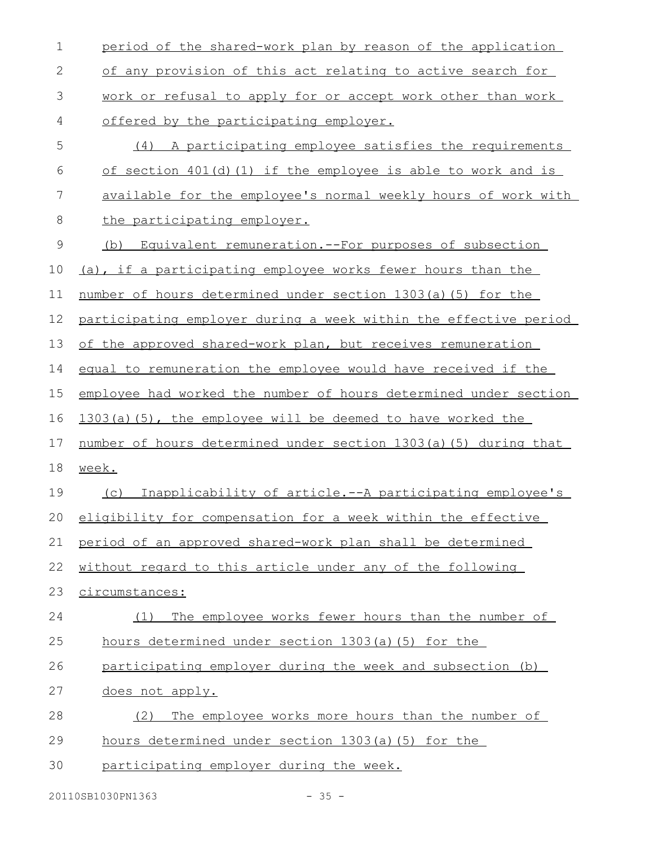| $\mathbf 1$    | period of the shared-work plan by reason of the application      |
|----------------|------------------------------------------------------------------|
| $\mathbf{2}$   | of any provision of this act relating to active search for       |
| 3              | work or refusal to apply for or accept work other than work      |
| 4              | offered by the participating employer.                           |
| 5              | (4) A participating employee satisfies the requirements          |
| 6              | of section 401(d)(1) if the employee is able to work and is      |
| $\overline{7}$ | available for the employee's normal weekly hours of work with    |
| 8              | the participating employer.                                      |
| $\mathsf 9$    | (b) Equivalent remuneration. -- For purposes of subsection       |
| 10             | (a), if a participating employee works fewer hours than the      |
| 11             | number of hours determined under section 1303(a)(5) for the      |
| 12             | participating employer during a week within the effective period |
| 13             | of the approved shared-work plan, but receives remuneration      |
| 14             | equal to remuneration the employee would have received if the    |
| 15             | employee had worked the number of hours determined under section |
| 16             | 1303(a)(5), the employee will be deemed to have worked the       |
| 17             | number of hours determined under section 1303(a)(5) during that  |
| 18             | week.                                                            |
| 19             | Inapplicability of article.--A participating employee's<br>(C)   |
| 20             | eligibility for compensation for a week within the effective     |
| 21             | period of an approved shared-work plan shall be determined       |
| 22             | without regard to this article under any of the following        |
| 23             | circumstances:                                                   |
| 24             | The employee works fewer hours than the number of<br>(1)         |
| 25             | hours determined under section 1303(a)(5) for the                |
| 26             | participating employer during the week and subsection (b)        |
| 27             | does not apply.                                                  |
| 28             | The employee works more hours than the number of<br>(2)          |
| 29             | hours determined under section 1303(a)(5) for the                |
| 30             | participating employer during the week.                          |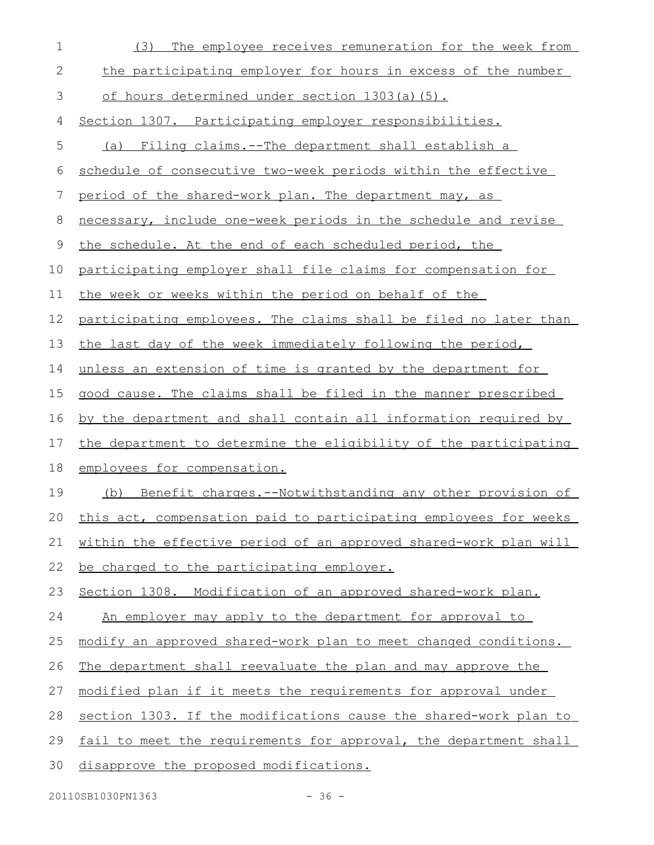| $\mathbf 1$ | (3)<br>The employee receives remuneration for the week from      |
|-------------|------------------------------------------------------------------|
| 2           | the participating employer for hours in excess of the number     |
| 3           | of hours determined under section 1303(a)(5).                    |
| 4           | Section 1307. Participating employer responsibilities.           |
| 5           | (a) Filing claims.--The department shall establish a             |
| 6           | schedule of consecutive two-week periods within the effective    |
| 7           | period of the shared-work plan. The department may, as           |
| 8           | necessary, include one-week periods in the schedule and revise   |
| $\mathsf 9$ | the schedule. At the end of each scheduled period, the           |
| 10          | participating employer shall file claims for compensation for    |
| 11          | the week or weeks within the period on behalf of the             |
| 12          | participating employees. The claims shall be filed no later than |
| 13          | the last day of the week immediately following the period,       |
| 14          | unless an extension of time is granted by the department for     |
| 15          | good cause. The claims shall be filed in the manner prescribed   |
| 16          | by the department and shall contain all information required by  |
| 17          | the department to determine the eligibility of the participating |
| 18          | employees for compensation.                                      |
| 19          | Benefit charges.--Notwithstanding any other provision of<br>(b)  |
| 20          | this act, compensation paid to participating employees for weeks |
| 21          | within the effective period of an approved shared-work plan will |
| 22          | be charged to the participating employer.                        |
| 23          | Section 1308. Modification of an approved shared-work plan.      |
| 24          | An employer may apply to the department for approval to          |
| 25          | modify an approved shared-work plan to meet changed conditions.  |
| 26          | The department shall reevaluate the plan and may approve the     |
| 27          | modified plan if it meets the requirements for approval under    |
| 28          | section 1303. If the modifications cause the shared-work plan to |
| 29          | fail to meet the requirements for approval, the department shall |
| 30          | disapprove the proposed modifications.                           |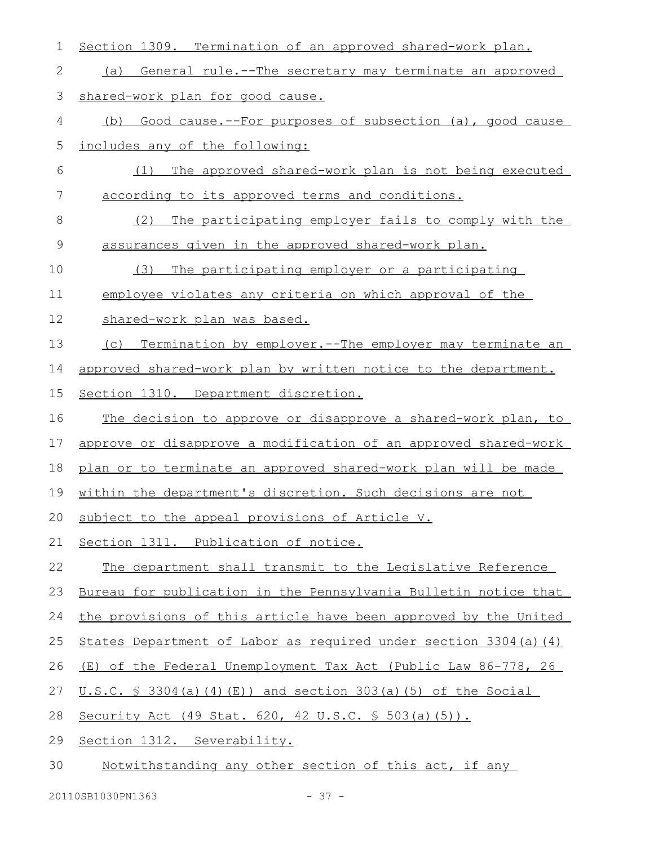| 1  | Section 1309. Termination of an approved shared-work plan.         |
|----|--------------------------------------------------------------------|
| 2  | General rule.--The secretary may terminate an approved<br>(a)      |
| 3  | shared-work plan for good cause.                                   |
| 4  | Good cause.--For purposes of subsection (a), good cause<br>(b)     |
| 5  | includes any of the following:                                     |
| 6  | The approved shared-work plan is not being executed<br>(1)         |
| 7  | according to its approved terms and conditions.                    |
| 8  | (2)<br>The participating employer fails to comply with the         |
| 9  | assurances given in the approved shared-work plan.                 |
| 10 | The participating employer or a participating<br>(3)               |
| 11 | employee violates any criteria on which approval of the            |
| 12 | shared-work plan was based.                                        |
| 13 | (c) Termination by employer.--The employer may terminate an        |
| 14 | approved shared-work plan by written notice to the department.     |
| 15 | Section 1310. Department discretion.                               |
| 16 | The decision to approve or disapprove a shared-work plan, to       |
| 17 | approve or disapprove a modification of an approved shared-work    |
| 18 | plan or to terminate an approved shared-work plan will be made     |
| 19 | within the department's discretion. Such decisions are not         |
|    | 20 subject to the appeal provisions of Article V.                  |
| 21 | Section 1311. Publication of notice.                               |
| 22 | The department shall transmit to the Legislative Reference         |
| 23 | Bureau for publication in the Pennsylvania Bulletin notice that    |
| 24 | the provisions of this article have been approved by the United    |
| 25 | States Department of Labor as required under section 3304 (a) (4)  |
| 26 | (E) of the Federal Unemployment Tax Act (Public Law 86-778, 26     |
| 27 | <u>U.S.C. § 3304(a)(4)(E)) and section 303(a)(5) of the Social</u> |
| 28 | Security Act (49 Stat. 620, 42 U.S.C. § 503(a)(5)).                |
| 29 | Section 1312. Severability.                                        |
| 30 | Notwithstanding any other section of this act, if any              |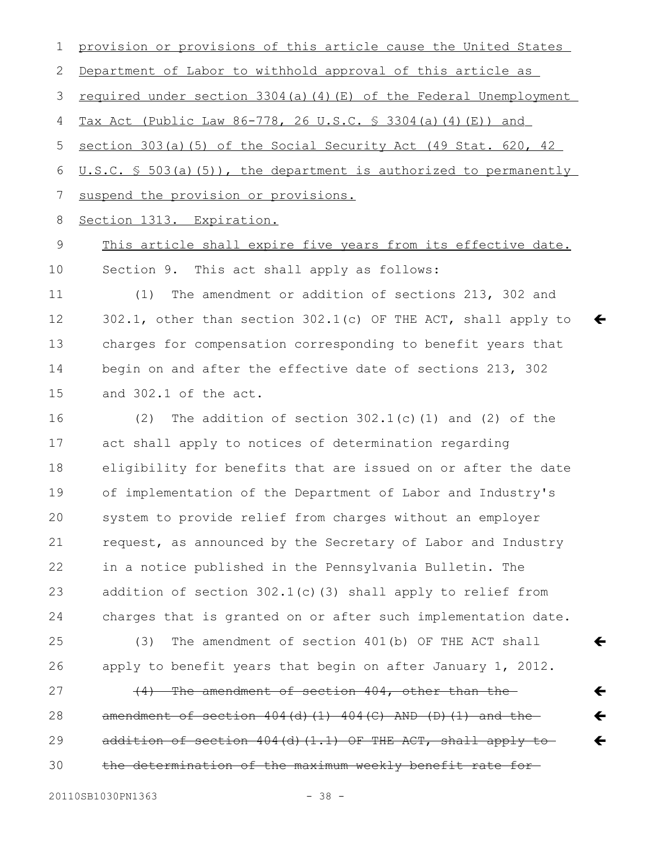provision or provisions of this article cause the United States Department of Labor to withhold approval of this article as required under section  $3304(a)(4)(E)$  of the Federal Unemployment Tax Act (Public Law 86-778, 26 U.S.C. § 3304(a)(4)(E)) and section 303(a)(5) of the Social Security Act (49 Stat. 620, 42 U.S.C. § 503(a)(5)), the department is authorized to permanently suspend the provision or provisions. Section 1313. Expiration. This article shall expire five years from its effective date. Section 9. This act shall apply as follows: (1) The amendment or addition of sections 213, 302 and 302.1, other than section 302.1(c) OF THE ACT, shall apply to charges for compensation corresponding to benefit years that begin on and after the effective date of sections 213, 302 and 302.1 of the act. (2) The addition of section  $302.1(c)$  (1) and (2) of the act shall apply to notices of determination regarding eligibility for benefits that are issued on or after the date of implementation of the Department of Labor and Industry's system to provide relief from charges without an employer request, as announced by the Secretary of Labor and Industry in a notice published in the Pennsylvania Bulletin. The addition of section 302.1(c)(3) shall apply to relief from charges that is granted on or after such implementation date. (3) The amendment of section 401(b) OF THE ACT shall apply to benefit years that begin on after January 1, 2012. (4) The amendment of section 404, other than the amendment of section  $404(d)$  (1)  $404(c)$  AND (D)(1) and the addition of section  $404(d)(1.1)$  OF THE ACT, shall apply to the determination of the maximum weekly benefit rate for 20110SB1030PN1363 - 38 -1 2 3 4 5 6 7 8 9 10 11 12 13 14 15 16 17 18 19 20 21 22 23 24 25 26 27 28 29 30

 $\leftarrow$ 

 $\leftarrow$ 

 $\leftarrow$ 

 $\leftarrow$ 

 $\leftarrow$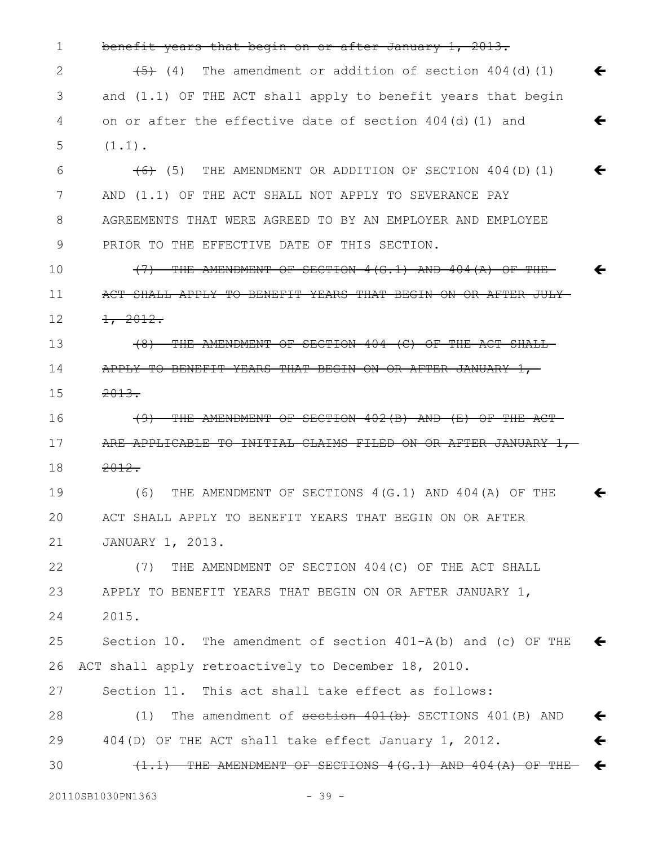benefit years that begin on or after January 1, 2013. 1

 $(4)$  The amendment or addition of section 404(d)(1) and (1.1) OF THE ACT shall apply to benefit years that begin on or after the effective date of section  $404(d)(1)$  and  $(1.1)$ .  $\leftarrow$  $\leftarrow$ 2 3 4 5

 $(6)$  (5) THE AMENDMENT OR ADDITION OF SECTION 404(D)(1) AND (1.1) OF THE ACT SHALL NOT APPLY TO SEVERANCE PAY AGREEMENTS THAT WERE AGREED TO BY AN EMPLOYER AND EMPLOYEE PRIOR TO THE EFFECTIVE DATE OF THIS SECTION. 6 7 8 9

 $\leftarrow$ 

 $\leftarrow$ 

 $\leftarrow$ 

(7) THE AMENDMENT OF SECTION 4(G.1) AND 404(A) OF THE ACT SHALL APPLY TO BENEFIT YEARS THAT BEGIN ON OR AFTER JULY  $\frac{1}{2}$ , 2012. 10 11 12

(8) THE AMENDMENT OF SECTION 404 (C) OF THE ACT SHALL APPLY TO BENEFIT YEARS THAT BEGIN ON OR AFTER JANUARY 1, 2013. 13 14 15

(9) THE AMENDMENT OF SECTION 402(B) AND (E) OF THE ACT ARE APPLICABLE TO INITIAL CLAIMS FILED ON OR AFTER JANUARY 1, 2012. 16 17 18

(6) THE AMENDMENT OF SECTIONS 4(G.1) AND 404(A) OF THE ACT SHALL APPLY TO BENEFIT YEARS THAT BEGIN ON OR AFTER JANUARY 1, 2013. 19 20 21

(7) THE AMENDMENT OF SECTION 404(C) OF THE ACT SHALL APPLY TO BENEFIT YEARS THAT BEGIN ON OR AFTER JANUARY 1, 2015. 22 23 24

Section 10. The amendment of section  $401-A(b)$  and (c) OF THE ACT shall apply retroactively to December 18, 2010.  $\leftarrow$ 25 26

Section 11. This act shall take effect as follows: 27

(1) The amendment of section 401(b) SECTIONS 401(B) AND 404(D) OF THE ACT shall take effect January 1, 2012.  $\leftarrow$  $\leftarrow$ 28 29

 $(1.1)$  THE AMENDMENT OF SECTIONS 4(G.1) AND 404(A) OF THE-  $\blacklozenge$ 30